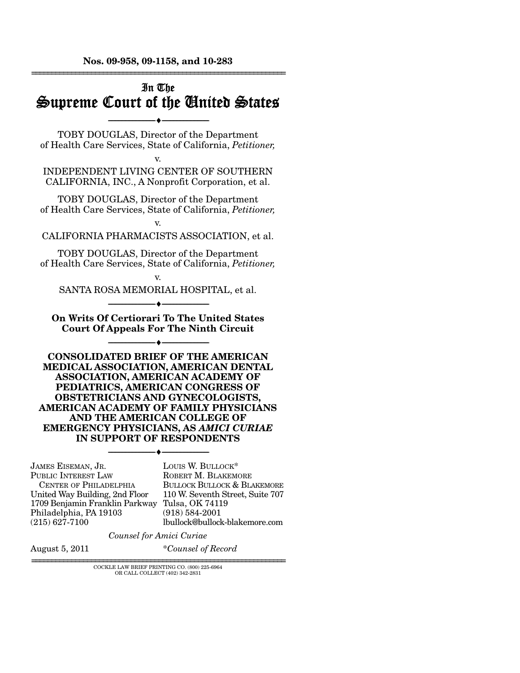**Nos. 09-958, 09-1158, and 10-283**  ================================================================

# In The Supreme Court of the United States

--------------------------------- ♦ ---------------------------------

TOBY DOUGLAS, Director of the Department of Health Care Services, State of California, *Petitioner,*

v. INDEPENDENT LIVING CENTER OF SOUTHERN CALIFORNIA, INC., A Nonprofit Corporation, et al.

TOBY DOUGLAS, Director of the Department of Health Care Services, State of California, *Petitioner,*

v.

CALIFORNIA PHARMACISTS ASSOCIATION, et al.

TOBY DOUGLAS, Director of the Department of Health Care Services, State of California, *Petitioner,*

v. SANTA ROSA MEMORIAL HOSPITAL, et al. --------------------------------- ♦ ---------------------------------

**On Writs Of Certiorari To The United States Court Of Appeals For The Ninth Circuit** 

--------------------------------- ♦ ---------------------------------

**CONSOLIDATED BRIEF OF THE AMERICAN MEDICAL ASSOCIATION, AMERICAN DENTAL ASSOCIATION, AMERICAN ACADEMY OF PEDIATRICS, AMERICAN CONGRESS OF OBSTETRICIANS AND GYNECOLOGISTS, AMERICAN ACADEMY OF FAMILY PHYSICIANS AND THE AMERICAN COLLEGE OF EMERGENCY PHYSICIANS, AS** *AMICI CURIAE* **IN SUPPORT OF RESPONDENTS** 

--------------------------------- ♦ ---------------------------------

JAMES EISEMAN, JR. PUBLIC INTEREST LAW CENTER OF PHILADELPHIA United Way Building, 2nd Floor 1709 Benjamin Franklin Parkway Tulsa, OK 74119 Philadelphia, PA 19103 (215) 627-7100

LOUIS W. BULLOCK\* ROBERT M. BLAKEMORE BULLOCK BULLOCK & BLAKEMORE 110 W. Seventh Street, Suite 707 (918) 584-2001 lbullock@bullock-blakemore.com

*Counsel for Amici Curiae* 

August 5, 2011 \**Counsel of Record*

 ${\rm COCKLE}$  LAW BRIEF PRINTING CO.  $(800)$   $225\text{-}6964$ OR CALL COLLECT (402) 342-2831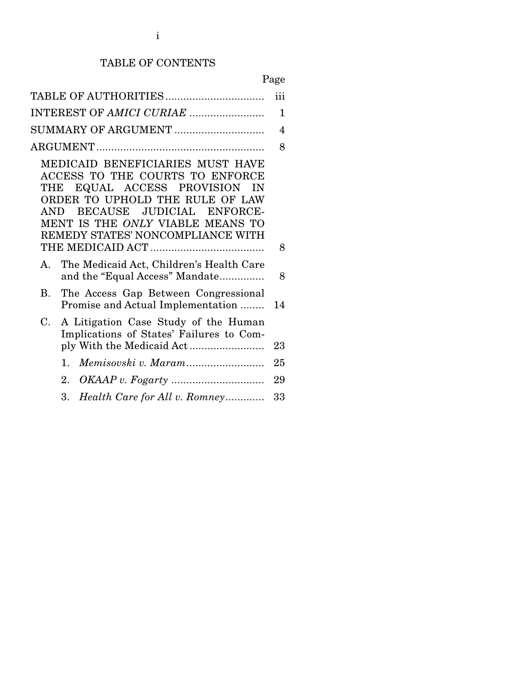## TABLE OF CONTENTS

|--|

|                                                                                                                                                                                                                                                                   | iii          |
|-------------------------------------------------------------------------------------------------------------------------------------------------------------------------------------------------------------------------------------------------------------------|--------------|
| INTEREST OF AMICI CURIAE                                                                                                                                                                                                                                          | $\mathbf{1}$ |
| SUMMARY OF ARGUMENT                                                                                                                                                                                                                                               | 4            |
|                                                                                                                                                                                                                                                                   | 8            |
| MEDICAID BENEFICIARIES MUST HAVE<br>ACCESS TO THE COURTS TO ENFORCE<br>EQUAL ACCESS PROVISION<br>THE<br><b>IN</b><br>ORDER TO UPHOLD THE RULE OF LAW<br>BECAUSE JUDICIAL ENFORCE-<br>AND<br>MENT IS THE ONLY VIABLE MEANS TO<br>REMEDY STATES' NONCOMPLIANCE WITH | 8            |
| The Medicaid Act, Children's Health Care<br>Α.<br>and the "Equal Access" Mandate                                                                                                                                                                                  | 8            |
| The Access Gap Between Congressional<br>В.<br>Promise and Actual Implementation                                                                                                                                                                                   | 14           |
| A Litigation Case Study of the Human<br>C.<br>Implications of States' Failures to Com-                                                                                                                                                                            | 23           |
| 1.                                                                                                                                                                                                                                                                | 25           |
| 2.                                                                                                                                                                                                                                                                | 29           |
| Health Care for All v. Romney<br>3.                                                                                                                                                                                                                               | 33           |
|                                                                                                                                                                                                                                                                   |              |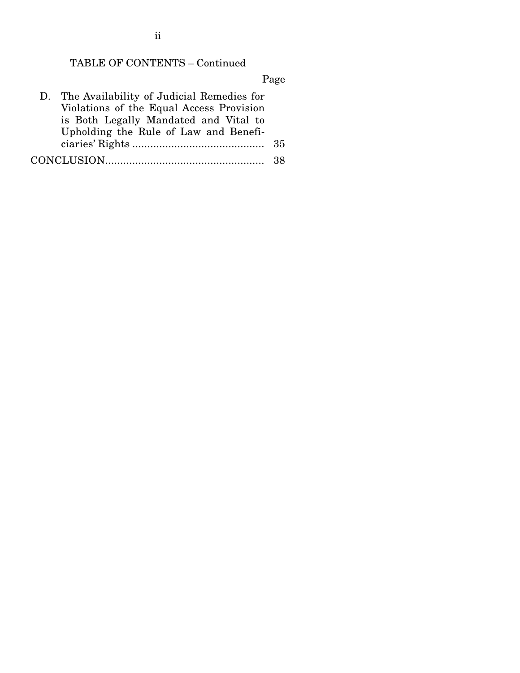## TABLE OF CONTENTS – Continued

Page

| D. The Availability of Judicial Remedies for |      |
|----------------------------------------------|------|
| Violations of the Equal Access Provision     |      |
| is Both Legally Mandated and Vital to        |      |
| Upholding the Rule of Law and Benefi-        |      |
|                                              |      |
|                                              | - 38 |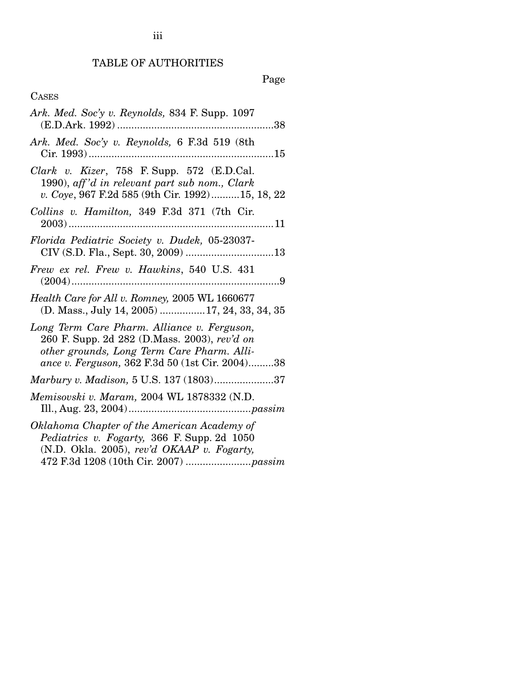# TABLE OF AUTHORITIES

# Page

## CASES

| Ark. Med. Soc'y v. Reynolds, 834 F. Supp. 1097                                                                                                                                               |
|----------------------------------------------------------------------------------------------------------------------------------------------------------------------------------------------|
| Ark. Med. Soc'y v. Reynolds, 6 F.3d 519 (8th                                                                                                                                                 |
| Clark v. Kizer, 758 F. Supp. 572 $(E.D.C.1)$ .<br>1990), aff'd in relevant part sub nom., Clark<br>v. Coye, 967 F.2d 585 (9th Cir. 1992)15, 18, 22                                           |
| Collins v. Hamilton, 349 F.3d 371 (7th Cir.                                                                                                                                                  |
| Florida Pediatric Society v. Dudek, 05-23037-                                                                                                                                                |
| Frew ex rel. Frew v. Hawkins, 540 U.S. 431                                                                                                                                                   |
| Health Care for All v. Romney, 2005 WL 1660677<br>(D. Mass., July 14, 2005) 17, 24, 33, 34, 35                                                                                               |
| Long Term Care Pharm. Alliance v. Ferguson,<br>260 F. Supp. 2d 282 (D.Mass. 2003), rev'd on<br>other grounds, Long Term Care Pharm. Alli-<br>ance v. Ferguson, 362 F.3d 50 (1st Cir. 2004)38 |
| Marbury v. Madison, 5 U.S. 137 (1803)37                                                                                                                                                      |
| Memisovski v. Maram, 2004 WL 1878332 (N.D.                                                                                                                                                   |
| Oklahoma Chapter of the American Academy of<br>Pediatrics v. Fogarty, 366 F. Supp. 2d 1050<br>(N.D. Okla. 2005), rev'd OKAAP v. Fogarty,                                                     |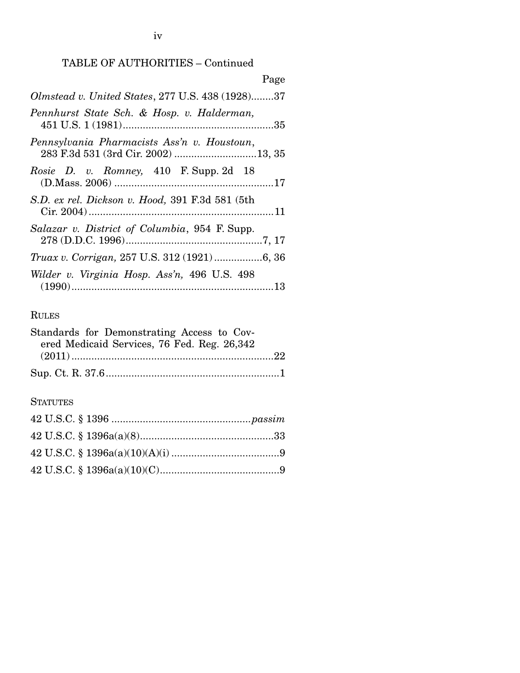### TABLE OF AUTHORITIES – Continued

| Page                                                                               |
|------------------------------------------------------------------------------------|
| Olmstead v. United States, 277 U.S. 438 (1928)37                                   |
| Pennhurst State Sch. & Hosp. v. Halderman,                                         |
| Pennsylvania Pharmacists Ass'n v. Houstoun,<br>283 F.3d 531 (3rd Cir. 2002) 13, 35 |
| Rosie D. v. Romney, 410 F. Supp. 2d 18                                             |
| S.D. ex rel. Dickson v. Hood, 391 F.3d 581 (5th                                    |
| Salazar v. District of Columbia, 954 F. Supp.                                      |
|                                                                                    |
| Wilder v. Virginia Hosp. Ass'n, 496 U.S. 498                                       |

## RULES

| Standards for Demonstrating Access to Cov-  |  |
|---------------------------------------------|--|
| ered Medicaid Services, 76 Fed. Reg. 26,342 |  |
|                                             |  |
|                                             |  |

### **STATUTES**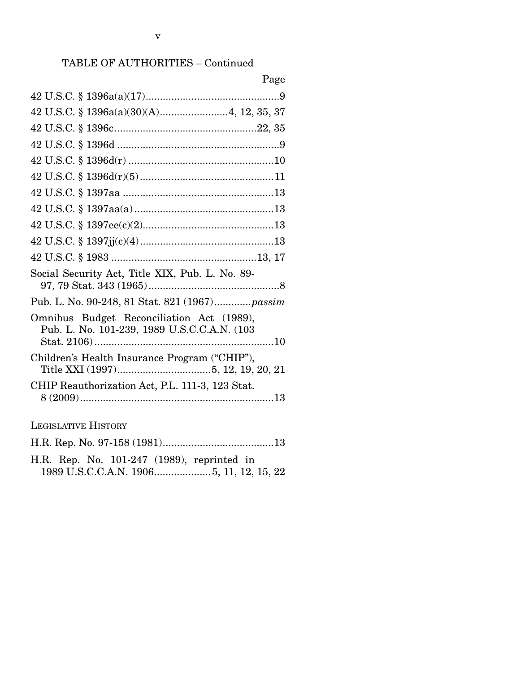### TABLE OF AUTHORITIES – Continued

| Page                                                                                     |
|------------------------------------------------------------------------------------------|
|                                                                                          |
|                                                                                          |
|                                                                                          |
|                                                                                          |
|                                                                                          |
|                                                                                          |
|                                                                                          |
|                                                                                          |
|                                                                                          |
|                                                                                          |
|                                                                                          |
| Social Security Act, Title XIX, Pub. L. No. 89-                                          |
| Pub. L. No. 90-248, 81 Stat. 821 (1967) passim                                           |
| Omnibus Budget Reconciliation Act (1989),<br>Pub. L. No. 101-239, 1989 U.S.C.C.A.N. (103 |
| Children's Health Insurance Program ("CHIP"),                                            |
| CHIP Reauthorization Act, P.L. 111-3, 123 Stat.                                          |
| <b>LEGISLATIVE HISTORY</b>                                                               |
|                                                                                          |

H.R. Rep. No. 101-247 (1989), reprinted in 1989 U.S.C.C.A.N. 1906 .................... 5, 11, 12, 15, 22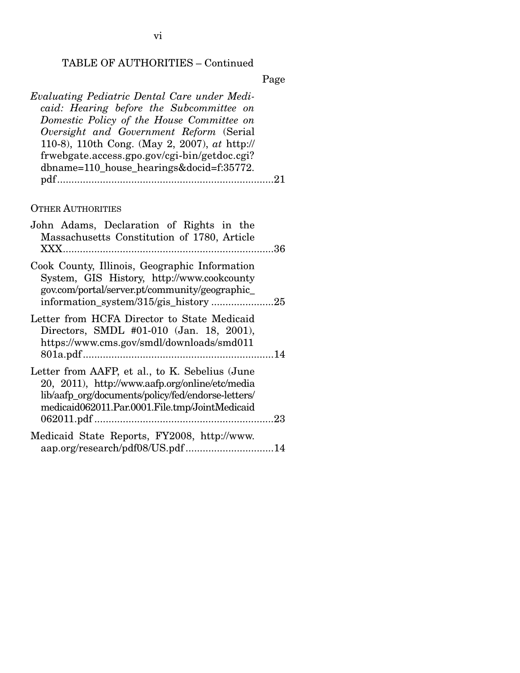vi

### TABLE OF AUTHORITIES – Continued

Page

*Evaluating Pediatric Dental Care under Medicaid: Hearing before the Subcommittee on Domestic Policy of the House Committee on Oversight and Government Reform* (Serial 110-8), 110th Cong. (May 2, 2007), *at* http:// frwebgate.access.gpo.gov/cgi-bin/getdoc.cgi? dbname=110\_house\_hearings&docid=f:35772. pdf ............................................................................ 21

#### OTHER AUTHORITIES

| information_system/315/gis_history25 |
|--------------------------------------|
|                                      |
|                                      |
|                                      |
| aap.org/research/pdf08/US.pdf14      |
|                                      |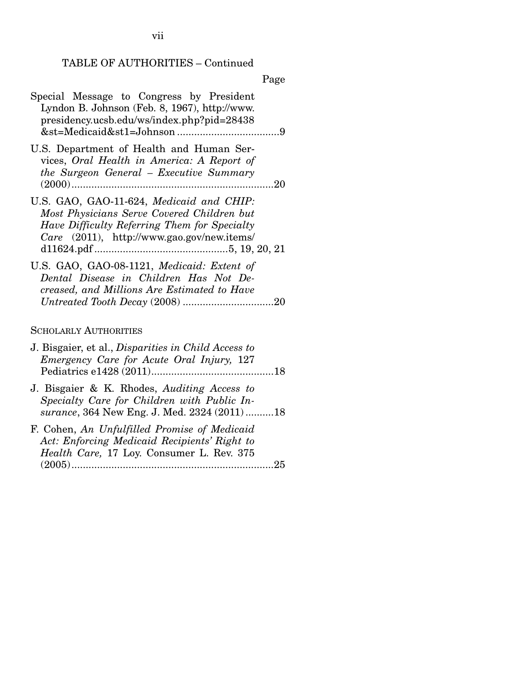## TABLE OF AUTHORITIES – Continued

## Page

| Special Message to Congress by President<br>Lyndon B. Johnson (Feb. 8, 1967), http://www.<br>presidency.ucsb.edu/ws/index.php?pid=28438                                              |
|--------------------------------------------------------------------------------------------------------------------------------------------------------------------------------------|
| U.S. Department of Health and Human Ser-<br>vices, Oral Health in America: A Report of<br>the Surgeon General – Executive Summary                                                    |
| U.S. GAO, GAO-11-624, Medicaid and CHIP:<br>Most Physicians Serve Covered Children but<br>Have Difficulty Referring Them for Specialty<br>Care (2011), http://www.gao.gov/new.items/ |
| U.S. GAO, GAO-08-1121, Medicaid: Extent of<br>Dental Disease in Children Has Not De-<br>creased, and Millions Are Estimated to Have                                                  |

### SCHOLARLY AUTHORITIES

| J. Bisgaier, et al., <i>Disparities in Child Access to</i><br>Emergency Care for Acute Oral Injury, 127                                         |  |
|-------------------------------------------------------------------------------------------------------------------------------------------------|--|
| J. Bisgaier & K. Rhodes, Auditing Access to<br>Specialty Care for Children with Public In-<br>surance, 364 New Eng. J. Med. 2324 (2011)18       |  |
| F. Cohen, An Unfulfilled Promise of Medicaid<br>Act: Enforcing Medicaid Recipients' Right to<br>Health Care, 17 Loy. Consumer L. Rev. 375<br>25 |  |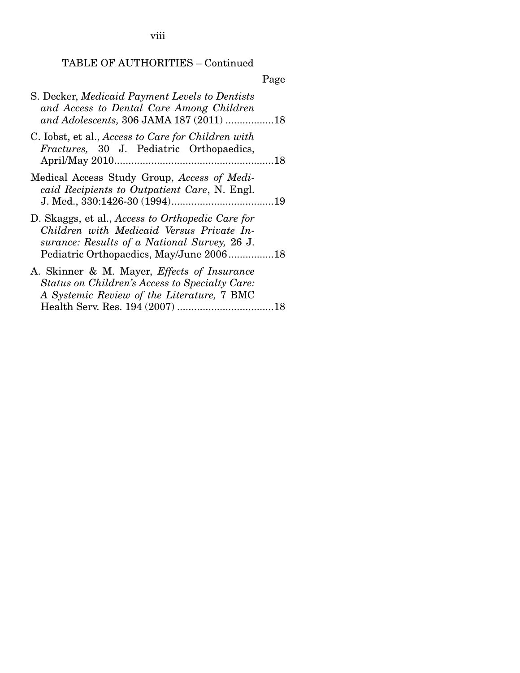viii

## TABLE OF AUTHORITIES – Continued

# Page

| S. Decker, Medicaid Payment Levels to Dentists<br>and Access to Dental Care Among Children<br>and Adolescents, 306 JAMA 187 (2011) 18                                                    |  |
|------------------------------------------------------------------------------------------------------------------------------------------------------------------------------------------|--|
| C. Iobst, et al., Access to Care for Children with<br><i>Fractures</i> , 30 J. Pediatric Orthopaedics,                                                                                   |  |
| Medical Access Study Group, Access of Medi-<br>caid Recipients to Outpatient Care, N. Engl.                                                                                              |  |
| D. Skaggs, et al., Access to Orthopedic Care for<br>Children with Medicaid Versus Private In-<br>surance: Results of a National Survey, 26 J.<br>Pediatric Orthopaedics, May/June 200618 |  |
| A. Skinner & M. Mayer, Effects of Insurance<br>Status on Children's Access to Specialty Care:<br>A Systemic Review of the Literature, 7 BMC                                              |  |
|                                                                                                                                                                                          |  |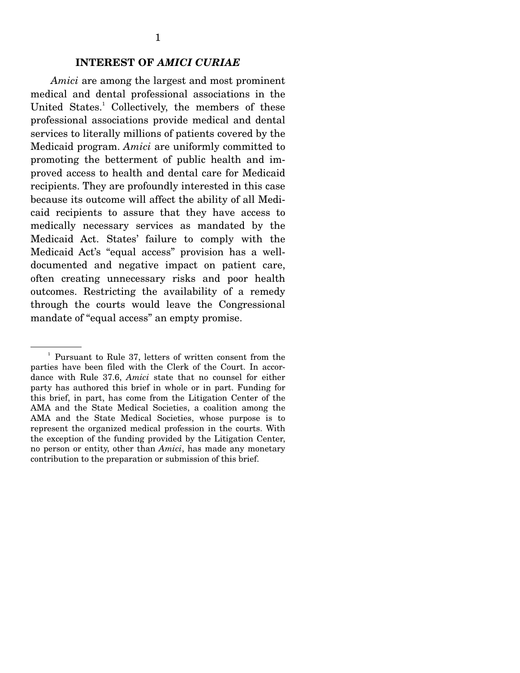### **INTEREST OF** *AMICI CURIAE*

*Amici* are among the largest and most prominent medical and dental professional associations in the United States.<sup>1</sup> Collectively, the members of these professional associations provide medical and dental services to literally millions of patients covered by the Medicaid program. *Amici* are uniformly committed to promoting the betterment of public health and improved access to health and dental care for Medicaid recipients. They are profoundly interested in this case because its outcome will affect the ability of all Medicaid recipients to assure that they have access to medically necessary services as mandated by the Medicaid Act. States' failure to comply with the Medicaid Act's "equal access" provision has a welldocumented and negative impact on patient care, often creating unnecessary risks and poor health outcomes. Restricting the availability of a remedy through the courts would leave the Congressional mandate of "equal access" an empty promise.

<sup>1</sup> Pursuant to Rule 37, letters of written consent from the parties have been filed with the Clerk of the Court. In accordance with Rule 37.6, *Amici* state that no counsel for either party has authored this brief in whole or in part. Funding for this brief, in part, has come from the Litigation Center of the AMA and the State Medical Societies, a coalition among the AMA and the State Medical Societies, whose purpose is to represent the organized medical profession in the courts. With the exception of the funding provided by the Litigation Center, no person or entity, other than *Amici*, has made any monetary contribution to the preparation or submission of this brief.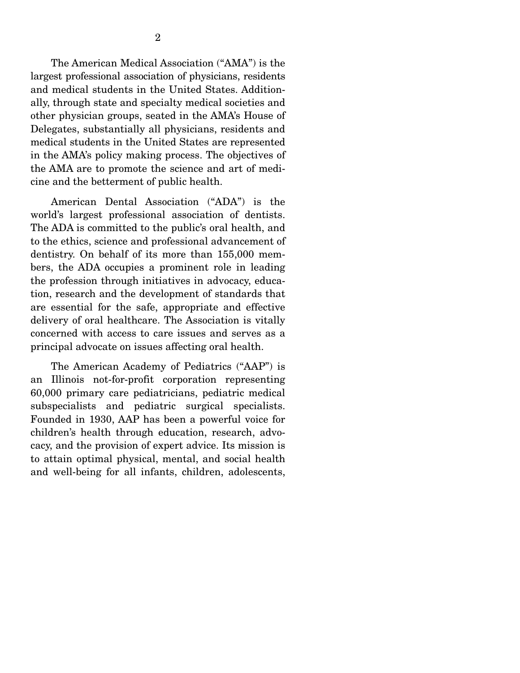The American Medical Association ("AMA") is the largest professional association of physicians, residents and medical students in the United States. Additionally, through state and specialty medical societies and other physician groups, seated in the AMA's House of Delegates, substantially all physicians, residents and medical students in the United States are represented in the AMA's policy making process. The objectives of the AMA are to promote the science and art of medicine and the betterment of public health.

 American Dental Association ("ADA") is the world's largest professional association of dentists. The ADA is committed to the public's oral health, and to the ethics, science and professional advancement of dentistry. On behalf of its more than 155,000 members, the ADA occupies a prominent role in leading the profession through initiatives in advocacy, education, research and the development of standards that are essential for the safe, appropriate and effective delivery of oral healthcare. The Association is vitally concerned with access to care issues and serves as a principal advocate on issues affecting oral health.

 The American Academy of Pediatrics ("AAP") is an Illinois not-for-profit corporation representing 60,000 primary care pediatricians, pediatric medical subspecialists and pediatric surgical specialists. Founded in 1930, AAP has been a powerful voice for children's health through education, research, advocacy, and the provision of expert advice. Its mission is to attain optimal physical, mental, and social health and well-being for all infants, children, adolescents,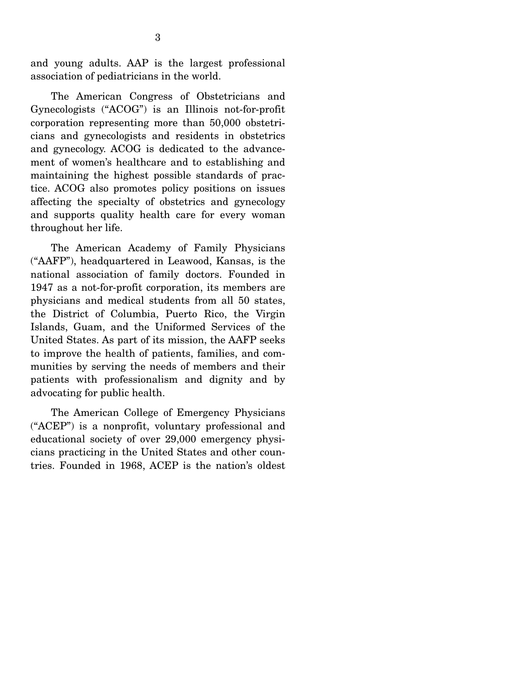and young adults. AAP is the largest professional association of pediatricians in the world.

 The American Congress of Obstetricians and Gynecologists ("ACOG") is an Illinois not-for-profit corporation representing more than 50,000 obstetricians and gynecologists and residents in obstetrics and gynecology. ACOG is dedicated to the advancement of women's healthcare and to establishing and maintaining the highest possible standards of practice. ACOG also promotes policy positions on issues affecting the specialty of obstetrics and gynecology and supports quality health care for every woman throughout her life.

 The American Academy of Family Physicians ("AAFP"), headquartered in Leawood, Kansas, is the national association of family doctors. Founded in 1947 as a not-for-profit corporation, its members are physicians and medical students from all 50 states, the District of Columbia, Puerto Rico, the Virgin Islands, Guam, and the Uniformed Services of the United States. As part of its mission, the AAFP seeks to improve the health of patients, families, and communities by serving the needs of members and their patients with professionalism and dignity and by advocating for public health.

 The American College of Emergency Physicians ("ACEP") is a nonprofit, voluntary professional and educational society of over 29,000 emergency physicians practicing in the United States and other countries. Founded in 1968, ACEP is the nation's oldest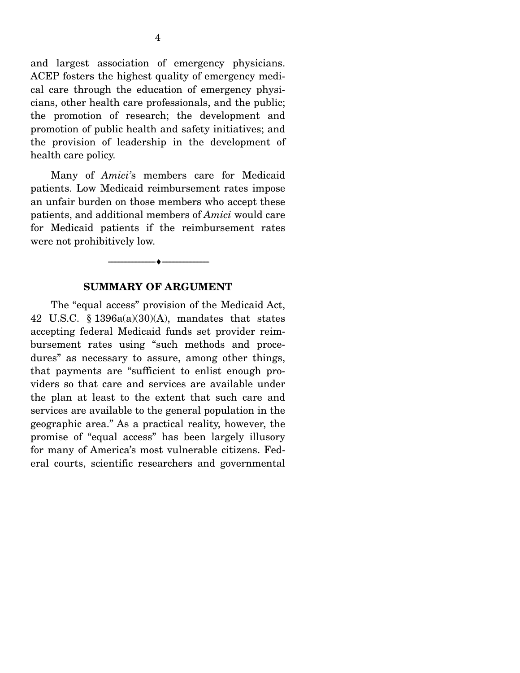and largest association of emergency physicians. ACEP fosters the highest quality of emergency medical care through the education of emergency physicians, other health care professionals, and the public; the promotion of research; the development and promotion of public health and safety initiatives; and the provision of leadership in the development of health care policy.

 Many of *Amici'*s members care for Medicaid patients. Low Medicaid reimbursement rates impose an unfair burden on those members who accept these patients, and additional members of *Amici* would care for Medicaid patients if the reimbursement rates were not prohibitively low.

#### **SUMMARY OF ARGUMENT**

--------------------------------- ♦ ---------------------------------

 The "equal access" provision of the Medicaid Act, 42 U.S.C. § 1396a(a)(30)(A), mandates that states accepting federal Medicaid funds set provider reimbursement rates using "such methods and procedures" as necessary to assure, among other things, that payments are "sufficient to enlist enough providers so that care and services are available under the plan at least to the extent that such care and services are available to the general population in the geographic area." As a practical reality, however, the promise of "equal access" has been largely illusory for many of America's most vulnerable citizens. Federal courts, scientific researchers and governmental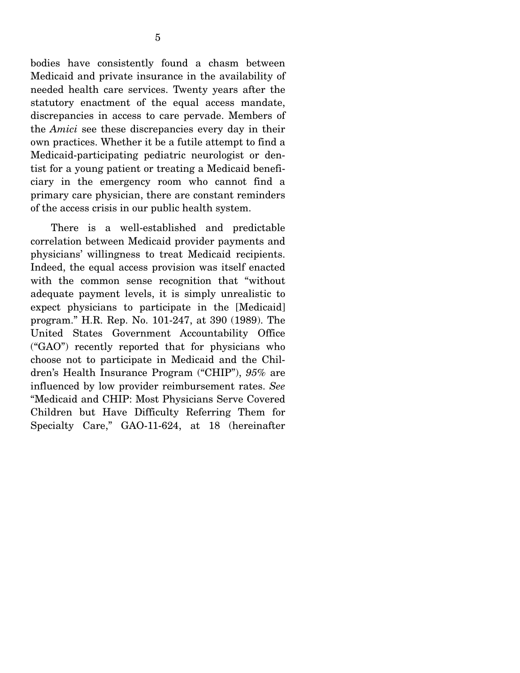bodies have consistently found a chasm between Medicaid and private insurance in the availability of needed health care services. Twenty years after the statutory enactment of the equal access mandate, discrepancies in access to care pervade. Members of the *Amici* see these discrepancies every day in their own practices. Whether it be a futile attempt to find a Medicaid-participating pediatric neurologist or dentist for a young patient or treating a Medicaid beneficiary in the emergency room who cannot find a primary care physician, there are constant reminders of the access crisis in our public health system.

 There is a well-established and predictable correlation between Medicaid provider payments and physicians' willingness to treat Medicaid recipients. Indeed, the equal access provision was itself enacted with the common sense recognition that "without adequate payment levels, it is simply unrealistic to expect physicians to participate in the [Medicaid] program." H.R. Rep. No. 101-247, at 390 (1989). The United States Government Accountability Office ("GAO") recently reported that for physicians who choose not to participate in Medicaid and the Children's Health Insurance Program ("CHIP"), *95%* are influenced by low provider reimbursement rates. *See* "Medicaid and CHIP: Most Physicians Serve Covered Children but Have Difficulty Referring Them for Specialty Care," GAO-11-624, at 18 (hereinafter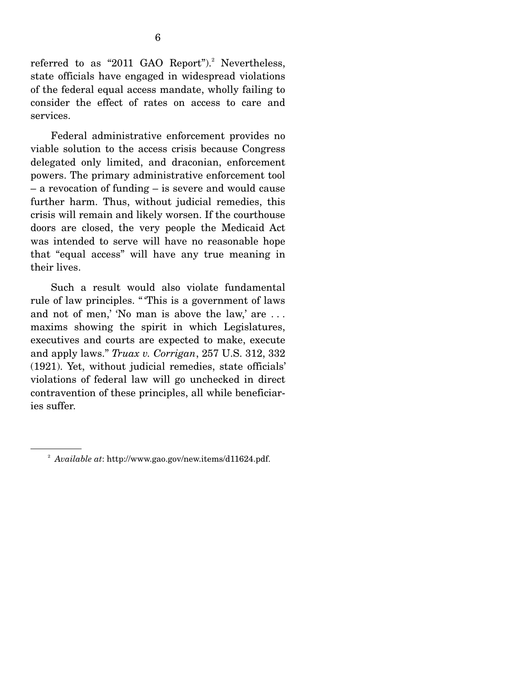referred to as "2011 GAO Report").<sup>2</sup> Nevertheless, state officials have engaged in widespread violations of the federal equal access mandate, wholly failing to consider the effect of rates on access to care and services.

 Federal administrative enforcement provides no viable solution to the access crisis because Congress delegated only limited, and draconian, enforcement powers. The primary administrative enforcement tool – a revocation of funding – is severe and would cause further harm. Thus, without judicial remedies, this crisis will remain and likely worsen. If the courthouse doors are closed, the very people the Medicaid Act was intended to serve will have no reasonable hope that "equal access" will have any true meaning in their lives.

 Such a result would also violate fundamental rule of law principles. " 'This is a government of laws and not of men,' 'No man is above the law,' are . . . maxims showing the spirit in which Legislatures, executives and courts are expected to make, execute and apply laws." *Truax v. Corrigan*, 257 U.S. 312, 332 (1921). Yet, without judicial remedies, state officials' violations of federal law will go unchecked in direct contravention of these principles, all while beneficiaries suffer.

<sup>2</sup> *Available at*: http://www.gao.gov/new.items/d11624.pdf.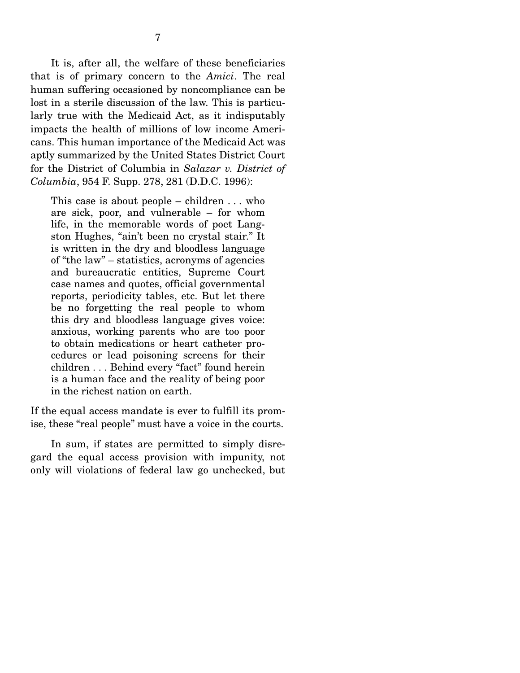It is, after all, the welfare of these beneficiaries that is of primary concern to the *Amici*. The real human suffering occasioned by noncompliance can be lost in a sterile discussion of the law. This is particularly true with the Medicaid Act, as it indisputably impacts the health of millions of low income Americans. This human importance of the Medicaid Act was aptly summarized by the United States District Court for the District of Columbia in *Salazar v. District of Columbia*, 954 F. Supp. 278, 281 (D.D.C. 1996):

This case is about people – children  $\dots$  who are sick, poor, and vulnerable – for whom life, in the memorable words of poet Langston Hughes, "ain't been no crystal stair." It is written in the dry and bloodless language of "the law" – statistics, acronyms of agencies and bureaucratic entities, Supreme Court case names and quotes, official governmental reports, periodicity tables, etc. But let there be no forgetting the real people to whom this dry and bloodless language gives voice: anxious, working parents who are too poor to obtain medications or heart catheter procedures or lead poisoning screens for their children . . . Behind every "fact" found herein is a human face and the reality of being poor in the richest nation on earth.

If the equal access mandate is ever to fulfill its promise, these "real people" must have a voice in the courts.

 In sum, if states are permitted to simply disregard the equal access provision with impunity, not only will violations of federal law go unchecked, but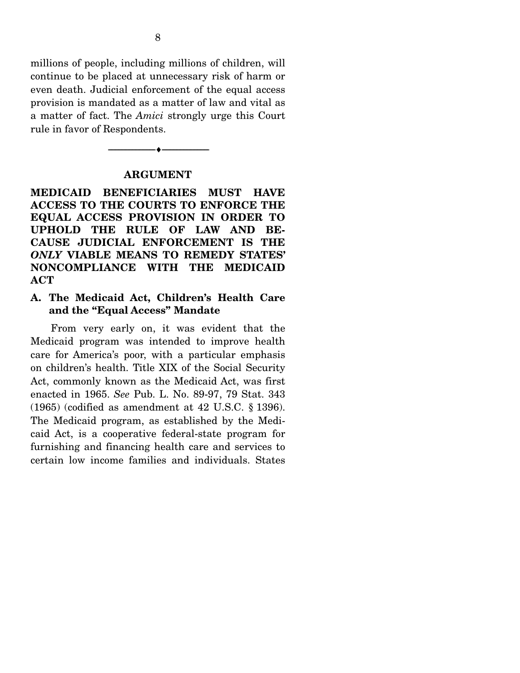millions of people, including millions of children, will continue to be placed at unnecessary risk of harm or even death. Judicial enforcement of the equal access provision is mandated as a matter of law and vital as a matter of fact. The *Amici* strongly urge this Court rule in favor of Respondents.

#### **ARGUMENT**

--------------------------------- ♦ ---------------------------------

**MEDICAID BENEFICIARIES MUST HAVE ACCESS TO THE COURTS TO ENFORCE THE EQUAL ACCESS PROVISION IN ORDER TO UPHOLD THE RULE OF LAW AND BE-CAUSE JUDICIAL ENFORCEMENT IS THE**  *ONLY* **VIABLE MEANS TO REMEDY STATES' NONCOMPLIANCE WITH THE MEDICAID ACT** 

#### **A. The Medicaid Act, Children's Health Care and the "Equal Access" Mandate**

 From very early on, it was evident that the Medicaid program was intended to improve health care for America's poor, with a particular emphasis on children's health. Title XIX of the Social Security Act, commonly known as the Medicaid Act, was first enacted in 1965. *See* Pub. L. No. 89-97, 79 Stat. 343 (1965) (codified as amendment at 42 U.S.C. § 1396). The Medicaid program, as established by the Medicaid Act, is a cooperative federal-state program for furnishing and financing health care and services to certain low income families and individuals. States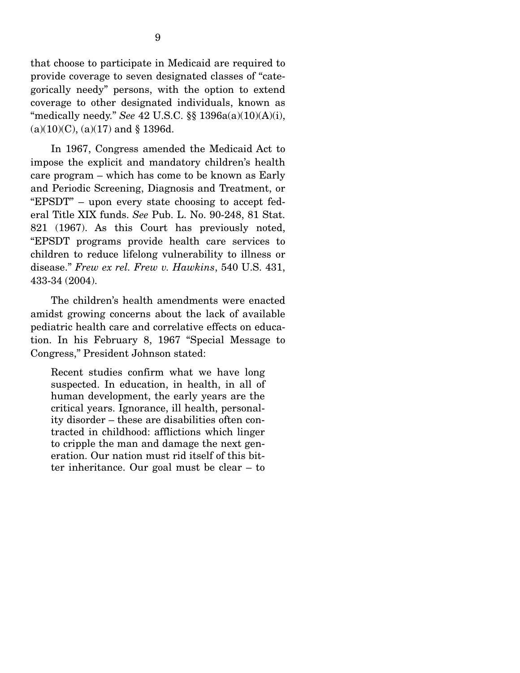that choose to participate in Medicaid are required to provide coverage to seven designated classes of "categorically needy" persons, with the option to extend coverage to other designated individuals, known as "medically needy." *See* 42 U.S.C. §§ 1396a(a)(10)(A)(i),  $(a)(10)(C)$ ,  $(a)(17)$  and § 1396d.

 In 1967, Congress amended the Medicaid Act to impose the explicit and mandatory children's health care program – which has come to be known as Early and Periodic Screening, Diagnosis and Treatment, or "EPSDT" – upon every state choosing to accept federal Title XIX funds. *See* Pub. L. No. 90-248, 81 Stat. 821 (1967). As this Court has previously noted, "EPSDT programs provide health care services to children to reduce lifelong vulnerability to illness or disease." *Frew ex rel. Frew v. Hawkins*, 540 U.S. 431, 433-34 (2004).

 The children's health amendments were enacted amidst growing concerns about the lack of available pediatric health care and correlative effects on education. In his February 8, 1967 "Special Message to Congress," President Johnson stated:

Recent studies confirm what we have long suspected. In education, in health, in all of human development, the early years are the critical years. Ignorance, ill health, personality disorder – these are disabilities often contracted in childhood: afflictions which linger to cripple the man and damage the next generation. Our nation must rid itself of this bitter inheritance. Our goal must be clear – to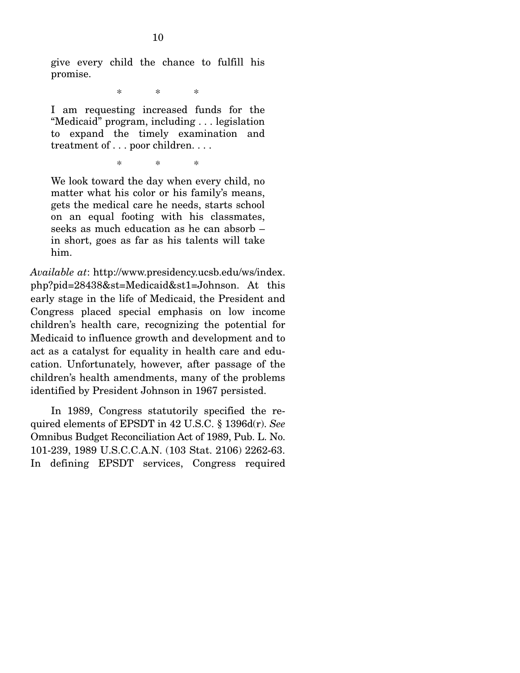give every child the chance to fulfill his promise.

\* \* \*

I am requesting increased funds for the "Medicaid" program, including . . . legislation to expand the timely examination and treatment of . . . poor children. . . .

\* \* \*

We look toward the day when every child, no matter what his color or his family's means, gets the medical care he needs, starts school on an equal footing with his classmates, seeks as much education as he can absorb – in short, goes as far as his talents will take him.

*Available at*: http://www.presidency.ucsb.edu/ws/index. php?pid=28438&st=Medicaid&st1=Johnson. At this early stage in the life of Medicaid, the President and Congress placed special emphasis on low income children's health care, recognizing the potential for Medicaid to influence growth and development and to act as a catalyst for equality in health care and education. Unfortunately, however, after passage of the children's health amendments, many of the problems identified by President Johnson in 1967 persisted.

 In 1989, Congress statutorily specified the required elements of EPSDT in 42 U.S.C. § 1396d(r). *See* Omnibus Budget Reconciliation Act of 1989, Pub. L. No. 101-239, 1989 U.S.C.C.A.N. (103 Stat. 2106) 2262-63. In defining EPSDT services, Congress required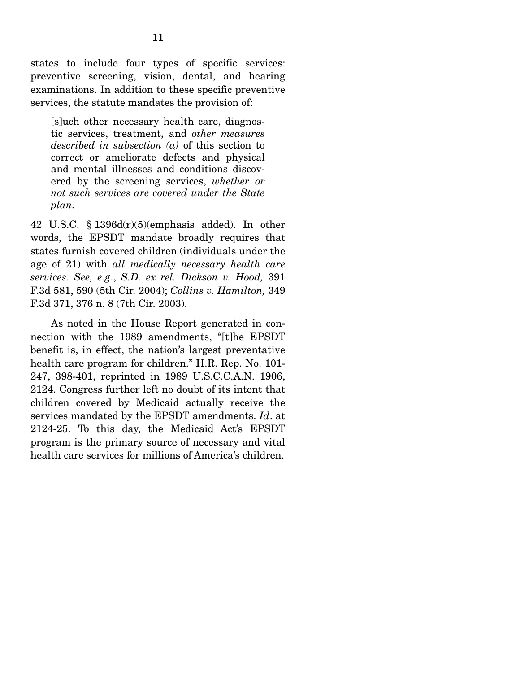states to include four types of specific services: preventive screening, vision, dental, and hearing examinations. In addition to these specific preventive services, the statute mandates the provision of:

[s]uch other necessary health care, diagnostic services, treatment, and *other measures described in subsection (a)* of this section to correct or ameliorate defects and physical and mental illnesses and conditions discovered by the screening services, *whether or not such services are covered under the State plan.*

42 U.S.C. § 1396d(r)(5)(emphasis added). In other words, the EPSDT mandate broadly requires that states furnish covered children (individuals under the age of 21) with *all medically necessary health care services*. *See, e.g*., *S.D. ex rel. Dickson v. Hood,* 391 F.3d 581, 590 (5th Cir. 2004); *Collins v. Hamilton,* 349 F.3d 371, 376 n. 8 (7th Cir. 2003).

 As noted in the House Report generated in connection with the 1989 amendments, "[t]he EPSDT benefit is, in effect, the nation's largest preventative health care program for children." H.R. Rep. No. 101- 247, 398-401, reprinted in 1989 U.S.C.C.A.N. 1906, 2124. Congress further left no doubt of its intent that children covered by Medicaid actually receive the services mandated by the EPSDT amendments. *Id*. at 2124-25. To this day, the Medicaid Act's EPSDT program is the primary source of necessary and vital health care services for millions of America's children.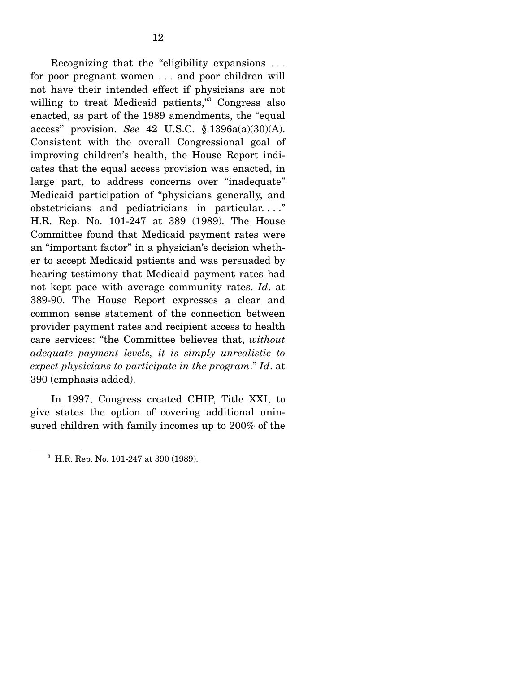Recognizing that the "eligibility expansions . . . for poor pregnant women . . . and poor children will not have their intended effect if physicians are not willing to treat Medicaid patients," Congress also enacted, as part of the 1989 amendments, the "equal access" provision. *See* 42 U.S.C. § 1396a(a)(30)(A). Consistent with the overall Congressional goal of improving children's health, the House Report indicates that the equal access provision was enacted, in large part, to address concerns over "inadequate" Medicaid participation of "physicians generally, and obstetricians and pediatricians in particular. . . ." H.R. Rep. No. 101-247 at 389 (1989). The House Committee found that Medicaid payment rates were an "important factor" in a physician's decision whether to accept Medicaid patients and was persuaded by hearing testimony that Medicaid payment rates had not kept pace with average community rates. *Id*. at 389-90. The House Report expresses a clear and common sense statement of the connection between provider payment rates and recipient access to health care services: "the Committee believes that, *without adequate payment levels, it is simply unrealistic to expect physicians to participate in the program*." *Id*. at 390 (emphasis added).

 In 1997, Congress created CHIP, Title XXI, to give states the option of covering additional uninsured children with family incomes up to 200% of the

<sup>3</sup> H.R. Rep. No. 101-247 at 390 (1989).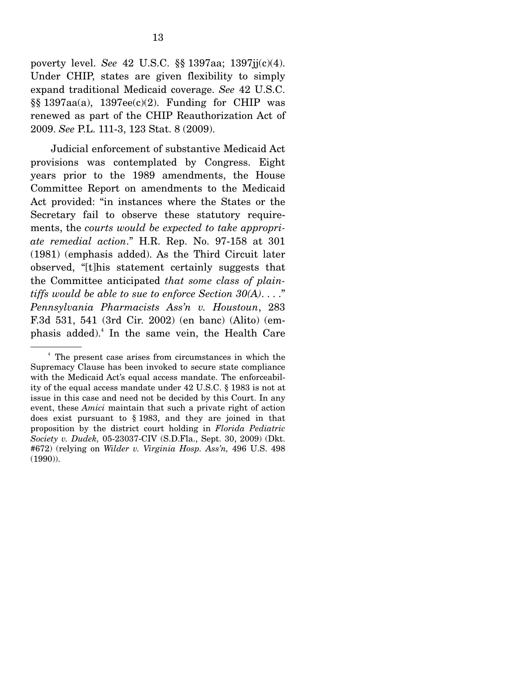poverty level. *See* 42 U.S.C. §§ 1397aa; 1397jj(c)(4). Under CHIP, states are given flexibility to simply expand traditional Medicaid coverage. *See* 42 U.S.C.  $\S$ § 1397aa(a), 1397ee(c)(2). Funding for CHIP was renewed as part of the CHIP Reauthorization Act of 2009. *See* P.L. 111-3, 123 Stat. 8 (2009).

 Judicial enforcement of substantive Medicaid Act provisions was contemplated by Congress. Eight years prior to the 1989 amendments, the House Committee Report on amendments to the Medicaid Act provided: "in instances where the States or the Secretary fail to observe these statutory requirements, the *courts would be expected to take appropriate remedial action*." H.R. Rep. No. 97-158 at 301 (1981) (emphasis added). As the Third Circuit later observed, "[t]his statement certainly suggests that the Committee anticipated *that some class of plaintiffs would be able to sue to enforce Section 30(A)*. . . ." *Pennsylvania Pharmacists Ass'n v. Houstoun*, 283 F.3d 531, 541 (3rd Cir. 2002) (en banc) (Alito) (emphasis added).<sup>4</sup> In the same vein, the Health Care

<sup>4</sup> The present case arises from circumstances in which the Supremacy Clause has been invoked to secure state compliance with the Medicaid Act's equal access mandate. The enforceability of the equal access mandate under 42 U.S.C. § 1983 is not at issue in this case and need not be decided by this Court. In any event, these *Amici* maintain that such a private right of action does exist pursuant to § 1983, and they are joined in that proposition by the district court holding in *Florida Pediatric Society v. Dudek,* 05-23037-CIV (S.D.Fla., Sept. 30, 2009) (Dkt. #672) (relying on *Wilder v. Virginia Hosp. Ass'n,* 496 U.S. 498 (1990)).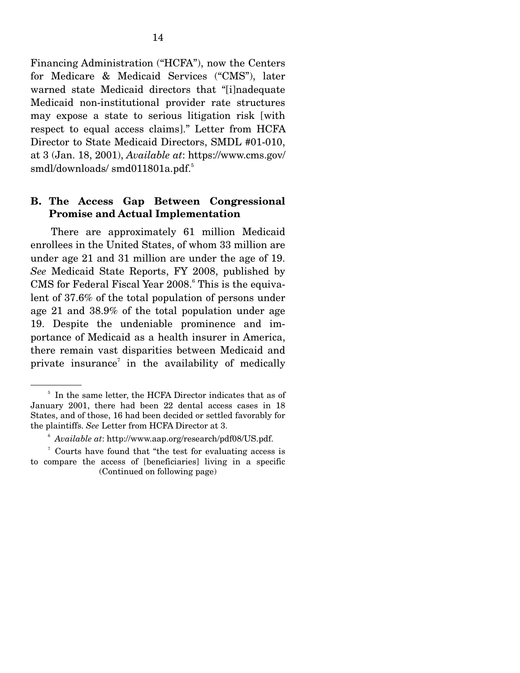Financing Administration ("HCFA"), now the Centers for Medicare & Medicaid Services ("CMS"), later warned state Medicaid directors that "[i]nadequate Medicaid non-institutional provider rate structures may expose a state to serious litigation risk [with respect to equal access claims]." Letter from HCFA Director to State Medicaid Directors, SMDL #01-010, at 3 (Jan. 18, 2001), *Available at*: https://www.cms.gov/ smdl/downloads/ smd011801a.pdf.<sup>5</sup>

### **B. The Access Gap Between Congressional Promise and Actual Implementation**

 There are approximately 61 million Medicaid enrollees in the United States, of whom 33 million are under age 21 and 31 million are under the age of 19. *See* Medicaid State Reports, FY 2008, published by CMS for Federal Fiscal Year 2008.<sup>6</sup> This is the equivalent of 37.6% of the total population of persons under age 21 and 38.9% of the total population under age 19. Despite the undeniable prominence and importance of Medicaid as a health insurer in America, there remain vast disparities between Medicaid and private insurance<sup>7</sup> in the availability of medically

<sup>&</sup>lt;sup>5</sup> In the same letter, the HCFA Director indicates that as of January 2001, there had been 22 dental access cases in 18 States, and of those, 16 had been decided or settled favorably for the plaintiffs. *See* Letter from HCFA Director at 3.

<sup>6</sup> *Available at*: http://www.aap.org/research/pdf08/US.pdf.

<sup>&</sup>lt;sup>7</sup> Courts have found that "the test for evaluating access is to compare the access of [beneficiaries] living in a specific (Continued on following page)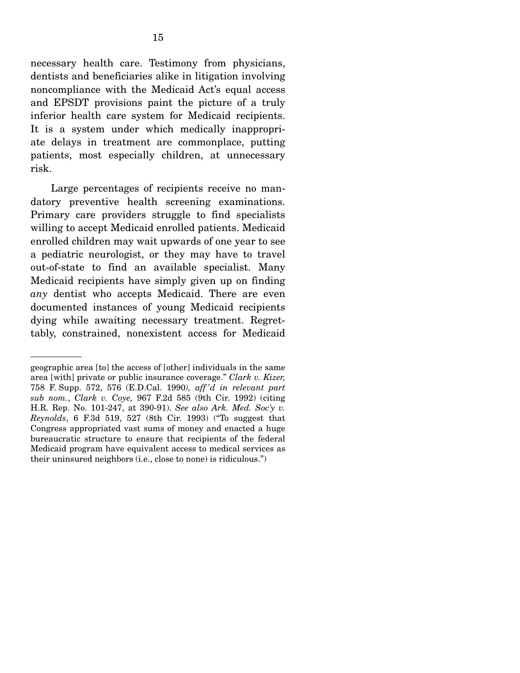necessary health care. Testimony from physicians, dentists and beneficiaries alike in litigation involving noncompliance with the Medicaid Act's equal access and EPSDT provisions paint the picture of a truly inferior health care system for Medicaid recipients. It is a system under which medically inappropriate delays in treatment are commonplace, putting patients, most especially children, at unnecessary risk.

 Large percentages of recipients receive no mandatory preventive health screening examinations. Primary care providers struggle to find specialists willing to accept Medicaid enrolled patients. Medicaid enrolled children may wait upwards of one year to see a pediatric neurologist, or they may have to travel out-of-state to find an available specialist. Many Medicaid recipients have simply given up on finding *any* dentist who accepts Medicaid. There are even documented instances of young Medicaid recipients dying while awaiting necessary treatment. Regrettably, constrained, nonexistent access for Medicaid

geographic area [to] the access of [other] individuals in the same area [with] private or public insurance coverage." *Clark v. Kizer,*  758 F. Supp. 572, 576 (E.D.Cal. 1990*), aff 'd in relevant part sub nom.*, *Clark v. Coye,* 967 F.2d 585 (9th Cir. 1992) (citing H.R. Rep. No. 101-247, at 390-91). *See also Ark. Med. Soc'y v. Reynolds*, 6 F.3d 519, 527 (8th Cir. 1993) ("To suggest that Congress appropriated vast sums of money and enacted a huge bureaucratic structure to ensure that recipients of the federal Medicaid program have equivalent access to medical services as their uninsured neighbors (i.e., close to none) is ridiculous.")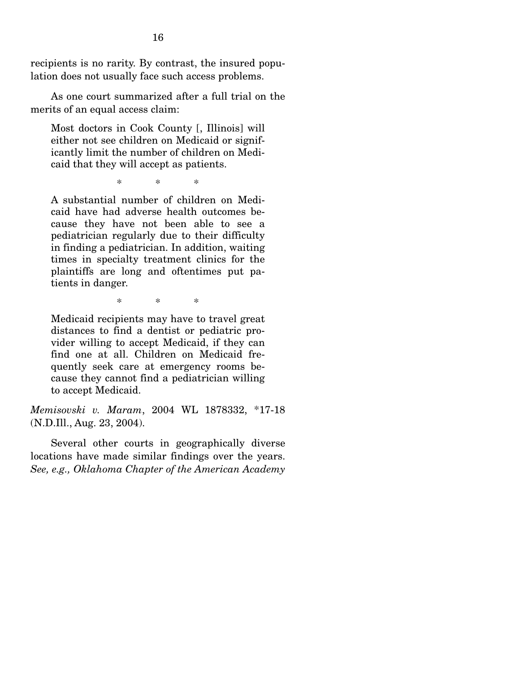recipients is no rarity. By contrast, the insured population does not usually face such access problems.

 As one court summarized after a full trial on the merits of an equal access claim:

Most doctors in Cook County [, Illinois] will either not see children on Medicaid or significantly limit the number of children on Medicaid that they will accept as patients.

\* \* \*

A substantial number of children on Medicaid have had adverse health outcomes because they have not been able to see a pediatrician regularly due to their difficulty in finding a pediatrician. In addition, waiting times in specialty treatment clinics for the plaintiffs are long and oftentimes put patients in danger.

\* \* \*

Medicaid recipients may have to travel great distances to find a dentist or pediatric provider willing to accept Medicaid, if they can find one at all. Children on Medicaid frequently seek care at emergency rooms because they cannot find a pediatrician willing to accept Medicaid.

*Memisovski v. Maram*, 2004 WL 1878332, \*17-18 (N.D.Ill., Aug. 23, 2004).

 Several other courts in geographically diverse locations have made similar findings over the years. *See, e.g., Oklahoma Chapter of the American Academy*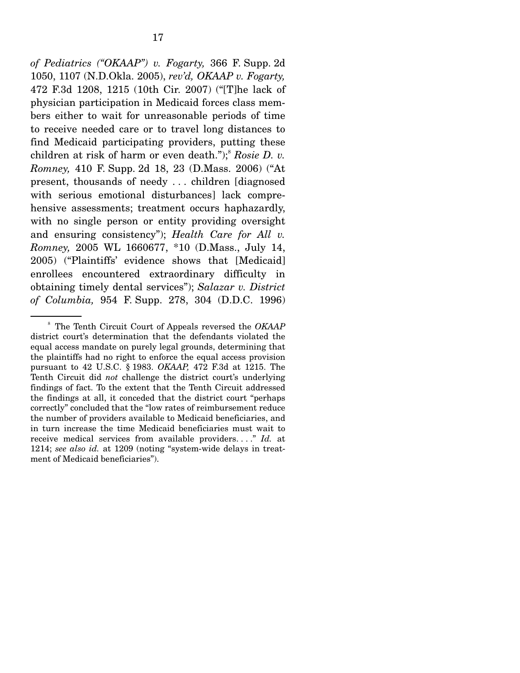*of Pediatrics ("OKAAP") v. Fogarty,* 366 F. Supp. 2d 1050, 1107 (N.D.Okla. 2005), *rev'd, OKAAP v. Fogarty,*  472 F.3d 1208, 1215 (10th Cir. 2007) ("[T]he lack of physician participation in Medicaid forces class members either to wait for unreasonable periods of time to receive needed care or to travel long distances to find Medicaid participating providers, putting these children at risk of harm or even death.");<sup>8</sup> Rosie D. v. *Romney,* 410 F. Supp. 2d 18, 23 (D.Mass. 2006) ("At present, thousands of needy . . . children [diagnosed with serious emotional disturbances] lack comprehensive assessments; treatment occurs haphazardly, with no single person or entity providing oversight and ensuring consistency"); *Health Care for All v. Romney,* 2005 WL 1660677, \*10 (D.Mass., July 14, 2005) ("Plaintiffs' evidence shows that [Medicaid] enrollees encountered extraordinary difficulty in obtaining timely dental services"); *Salazar v. District of Columbia,* 954 F. Supp. 278, 304 (D.D.C. 1996)

<sup>8</sup> The Tenth Circuit Court of Appeals reversed the *OKAAP*  district court's determination that the defendants violated the equal access mandate on purely legal grounds, determining that the plaintiffs had no right to enforce the equal access provision pursuant to 42 U.S.C. § 1983. *OKAAP,* 472 F.3d at 1215. The Tenth Circuit did *not* challenge the district court's underlying findings of fact. To the extent that the Tenth Circuit addressed the findings at all, it conceded that the district court "perhaps correctly" concluded that the "low rates of reimbursement reduce the number of providers available to Medicaid beneficiaries, and in turn increase the time Medicaid beneficiaries must wait to receive medical services from available providers. . . ." *Id.* at 1214; *see also id.* at 1209 (noting "system-wide delays in treatment of Medicaid beneficiaries").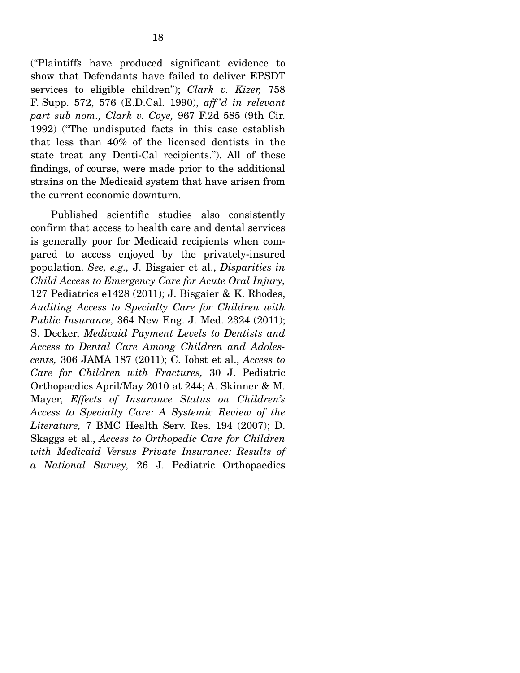("Plaintiffs have produced significant evidence to show that Defendants have failed to deliver EPSDT services to eligible children"); *Clark v. Kizer,* 758 F. Supp. 572, 576 (E.D.Cal. 1990), *aff 'd in relevant part sub nom., Clark v. Coye,* 967 F.2d 585 (9th Cir. 1992) ("The undisputed facts in this case establish that less than 40% of the licensed dentists in the state treat any Denti-Cal recipients."). All of these findings, of course, were made prior to the additional strains on the Medicaid system that have arisen from the current economic downturn.

 Published scientific studies also consistently confirm that access to health care and dental services is generally poor for Medicaid recipients when compared to access enjoyed by the privately-insured population. *See, e.g.,* J. Bisgaier et al., *Disparities in Child Access to Emergency Care for Acute Oral Injury,*  127 Pediatrics e1428 (2011); J. Bisgaier & K. Rhodes, *Auditing Access to Specialty Care for Children with Public Insurance,* 364 New Eng. J. Med. 2324 (2011); S. Decker, *Medicaid Payment Levels to Dentists and Access to Dental Care Among Children and Adolescents,* 306 JAMA 187 (2011); C. Iobst et al., *Access to Care for Children with Fractures,* 30 J. Pediatric Orthopaedics April/May 2010 at 244; A. Skinner & M. Mayer, *Effects of Insurance Status on Children's Access to Specialty Care: A Systemic Review of the Literature,* 7 BMC Health Serv. Res. 194 (2007); D. Skaggs et al., *Access to Orthopedic Care for Children with Medicaid Versus Private Insurance: Results of a National Survey,* 26 J. Pediatric Orthopaedics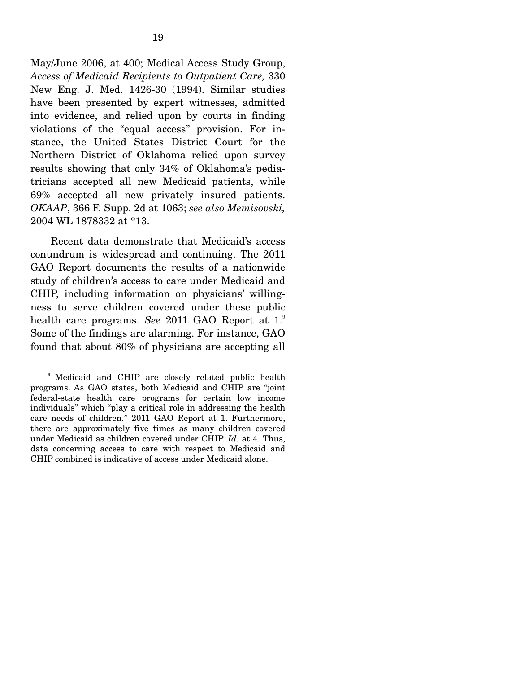May/June 2006, at 400; Medical Access Study Group, *Access of Medicaid Recipients to Outpatient Care,* 330 New Eng. J. Med. 1426-30 (1994). Similar studies have been presented by expert witnesses, admitted into evidence, and relied upon by courts in finding violations of the "equal access" provision. For instance, the United States District Court for the Northern District of Oklahoma relied upon survey results showing that only 34% of Oklahoma's pediatricians accepted all new Medicaid patients, while 69% accepted all new privately insured patients. *OKAAP*, 366 F. Supp. 2d at 1063; *see also Memisovski,* 2004 WL 1878332 at \*13.

 Recent data demonstrate that Medicaid's access conundrum is widespread and continuing. The 2011 GAO Report documents the results of a nationwide study of children's access to care under Medicaid and CHIP, including information on physicians' willingness to serve children covered under these public health care programs. *See* 2011 GAO Report at 1.<sup>9</sup> Some of the findings are alarming. For instance, GAO found that about 80% of physicians are accepting all

<sup>9</sup> Medicaid and CHIP are closely related public health programs. As GAO states, both Medicaid and CHIP are "joint federal-state health care programs for certain low income individuals" which "play a critical role in addressing the health care needs of children." 2011 GAO Report at 1. Furthermore, there are approximately five times as many children covered under Medicaid as children covered under CHIP. *Id.* at 4. Thus, data concerning access to care with respect to Medicaid and CHIP combined is indicative of access under Medicaid alone.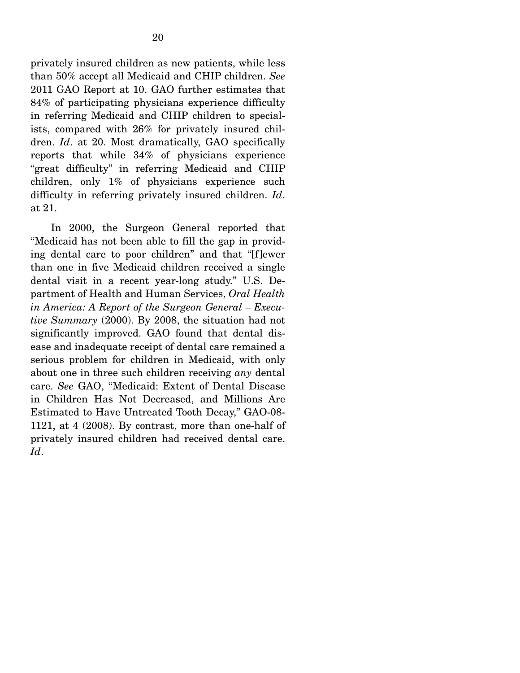privately insured children as new patients, while less than 50% accept all Medicaid and CHIP children. *See* 2011 GAO Report at 10. GAO further estimates that 84% of participating physicians experience difficulty in referring Medicaid and CHIP children to specialists, compared with 26% for privately insured children. *Id*. at 20. Most dramatically, GAO specifically reports that while 34% of physicians experience "great difficulty" in referring Medicaid and CHIP children, only 1% of physicians experience such difficulty in referring privately insured children. *Id*. at 21.

 In 2000, the Surgeon General reported that "Medicaid has not been able to fill the gap in providing dental care to poor children" and that "[f]ewer than one in five Medicaid children received a single dental visit in a recent year-long study." U.S. Department of Health and Human Services, *Oral Health in America: A Report of the Surgeon General – Executive Summary* (2000). By 2008, the situation had not significantly improved. GAO found that dental disease and inadequate receipt of dental care remained a serious problem for children in Medicaid, with only about one in three such children receiving *any* dental care. *See* GAO, "Medicaid: Extent of Dental Disease in Children Has Not Decreased, and Millions Are Estimated to Have Untreated Tooth Decay," GAO-08- 1121, at 4 (2008). By contrast, more than one-half of privately insured children had received dental care. *Id*.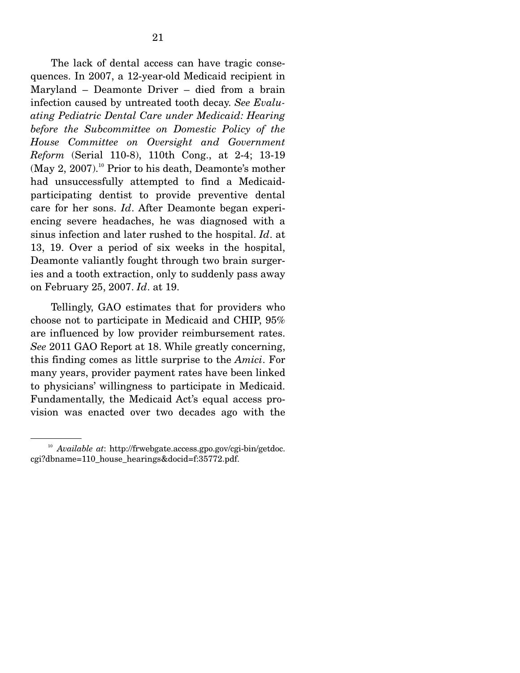The lack of dental access can have tragic consequences. In 2007, a 12-year-old Medicaid recipient in Maryland – Deamonte Driver – died from a brain infection caused by untreated tooth decay. *See Evaluating Pediatric Dental Care under Medicaid: Hearing before the Subcommittee on Domestic Policy of the House Committee on Oversight and Government Reform* (Serial 110-8), 110th Cong., at 2-4; 13-19  $(May 2, 2007).$ <sup>10</sup> Prior to his death, Deamonte's mother had unsuccessfully attempted to find a Medicaidparticipating dentist to provide preventive dental care for her sons. *Id*. After Deamonte began experiencing severe headaches, he was diagnosed with a sinus infection and later rushed to the hospital. *Id*. at 13, 19. Over a period of six weeks in the hospital, Deamonte valiantly fought through two brain surgeries and a tooth extraction, only to suddenly pass away on February 25, 2007. *Id*. at 19.

 Tellingly, GAO estimates that for providers who choose not to participate in Medicaid and CHIP, 95% are influenced by low provider reimbursement rates. *See* 2011 GAO Report at 18. While greatly concerning, this finding comes as little surprise to the *Amici*. For many years, provider payment rates have been linked to physicians' willingness to participate in Medicaid. Fundamentally, the Medicaid Act's equal access provision was enacted over two decades ago with the

<sup>10</sup> *Available at*: http://frwebgate.access.gpo.gov/cgi-bin/getdoc. cgi?dbname=110\_house\_hearings&docid=f:35772.pdf.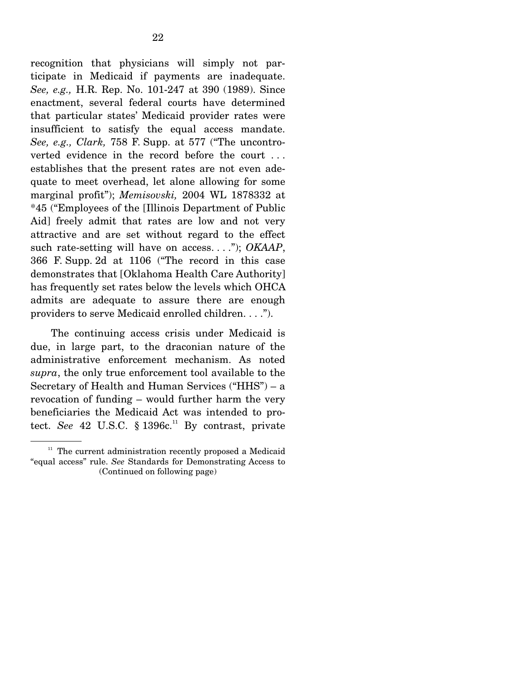recognition that physicians will simply not participate in Medicaid if payments are inadequate. *See, e.g.,* H.R. Rep. No. 101-247 at 390 (1989). Since enactment, several federal courts have determined that particular states' Medicaid provider rates were insufficient to satisfy the equal access mandate. *See, e.g., Clark,* 758 F. Supp. at 577 ("The uncontroverted evidence in the record before the court . . . establishes that the present rates are not even adequate to meet overhead, let alone allowing for some marginal profit"); *Memisovski,* 2004 WL 1878332 at \*45 ("Employees of the [Illinois Department of Public Aid] freely admit that rates are low and not very attractive and are set without regard to the effect such rate-setting will have on access. . . ."); *OKAAP*, 366 F. Supp. 2d at 1106 ("The record in this case demonstrates that [Oklahoma Health Care Authority] has frequently set rates below the levels which OHCA admits are adequate to assure there are enough providers to serve Medicaid enrolled children. . . .").

 The continuing access crisis under Medicaid is due, in large part, to the draconian nature of the administrative enforcement mechanism. As noted *supra*, the only true enforcement tool available to the Secretary of Health and Human Services (" $HHS$ ") – a revocation of funding – would further harm the very beneficiaries the Medicaid Act was intended to protect. *See* 42 U.S.C.  $§$  1396 $c$ .<sup>11</sup> By contrast, private

 $11$  The current administration recently proposed a Medicaid "equal access" rule. *See* Standards for Demonstrating Access to (Continued on following page)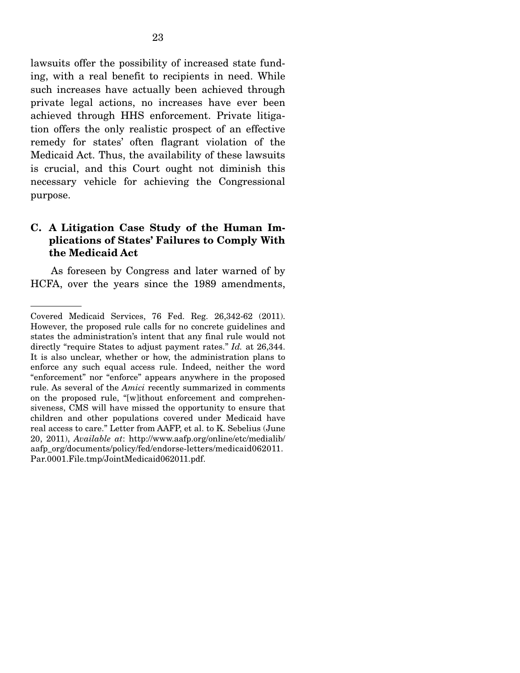lawsuits offer the possibility of increased state funding, with a real benefit to recipients in need. While such increases have actually been achieved through private legal actions, no increases have ever been achieved through HHS enforcement. Private litigation offers the only realistic prospect of an effective remedy for states' often flagrant violation of the Medicaid Act. Thus, the availability of these lawsuits is crucial, and this Court ought not diminish this necessary vehicle for achieving the Congressional purpose.

### **C. A Litigation Case Study of the Human Implications of States' Failures to Comply With the Medicaid Act**

 As foreseen by Congress and later warned of by HCFA, over the years since the 1989 amendments,

Covered Medicaid Services, 76 Fed. Reg. 26,342-62 (2011). However, the proposed rule calls for no concrete guidelines and states the administration's intent that any final rule would not directly "require States to adjust payment rates." *Id.* at 26,344. It is also unclear, whether or how, the administration plans to enforce any such equal access rule. Indeed, neither the word "enforcement" nor "enforce" appears anywhere in the proposed rule. As several of the *Amici* recently summarized in comments on the proposed rule, "[w]ithout enforcement and comprehensiveness, CMS will have missed the opportunity to ensure that children and other populations covered under Medicaid have real access to care." Letter from AAFP, et al. to K. Sebelius (June 20, 2011), *Available at*: http://www.aafp.org/online/etc/medialib/ aafp\_org/documents/policy/fed/endorse-letters/medicaid062011. Par.0001.File.tmp/JointMedicaid062011.pdf.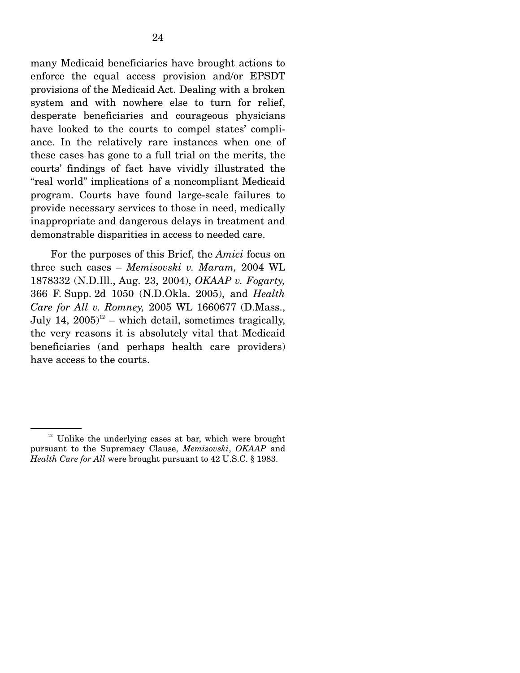many Medicaid beneficiaries have brought actions to enforce the equal access provision and/or EPSDT provisions of the Medicaid Act. Dealing with a broken system and with nowhere else to turn for relief, desperate beneficiaries and courageous physicians have looked to the courts to compel states' compliance. In the relatively rare instances when one of these cases has gone to a full trial on the merits, the courts' findings of fact have vividly illustrated the "real world" implications of a noncompliant Medicaid program. Courts have found large-scale failures to provide necessary services to those in need, medically inappropriate and dangerous delays in treatment and demonstrable disparities in access to needed care.

 For the purposes of this Brief, the *Amici* focus on three such cases – *Memisovski v. Maram,* 2004 WL 1878332 (N.D.Ill., Aug. 23, 2004), *OKAAP v. Fogarty,*  366 F. Supp. 2d 1050 (N.D.Okla. 2005), and *Health Care for All v. Romney,* 2005 WL 1660677 (D.Mass., July 14,  $2005$ <sup>12</sup> – which detail, sometimes tragically, the very reasons it is absolutely vital that Medicaid beneficiaries (and perhaps health care providers) have access to the courts.

 $12$  Unlike the underlying cases at bar, which were brought pursuant to the Supremacy Clause, *Memisovski*, *OKAAP* and *Health Care for All* were brought pursuant to 42 U.S.C. § 1983.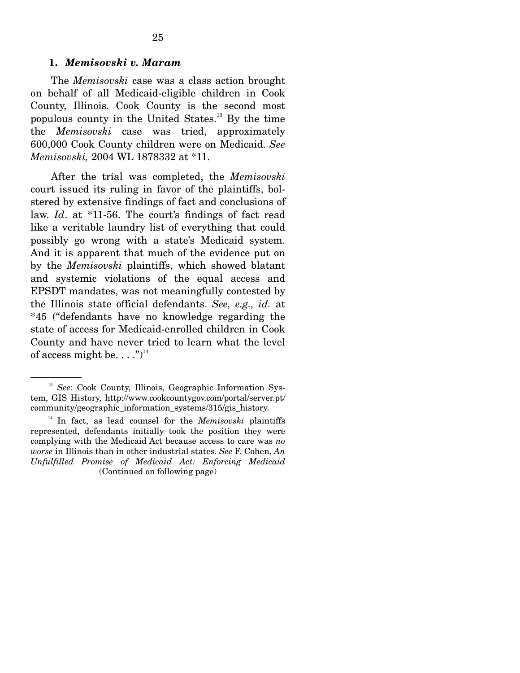#### **1.** *Memisovski v. Maram*

 The *Memisovski* case was a class action brought on behalf of all Medicaid-eligible children in Cook County, Illinois. Cook County is the second most populous county in the United States.13 By the time the *Memisovski* case was tried, approximately 600,000 Cook County children were on Medicaid. *See Memisovski,* 2004 WL 1878332 at \*11.

 After the trial was completed, the *Memisovski* court issued its ruling in favor of the plaintiffs, bolstered by extensive findings of fact and conclusions of law. *Id*. at \*11-56. The court's findings of fact read like a veritable laundry list of everything that could possibly go wrong with a state's Medicaid system. And it is apparent that much of the evidence put on by the *Memisovski* plaintiffs, which showed blatant and systemic violations of the equal access and EPSDT mandates, was not meaningfully contested by the Illinois state official defendants. *See, e.g., id.* at \*45 ("defendants have no knowledge regarding the state of access for Medicaid-enrolled children in Cook County and have never tried to learn what the level of access might be.  $\dots$ .")<sup>14</sup>

<sup>13</sup> *See*: Cook County, Illinois, Geographic Information System, GIS History, http://www.cookcountygov.com/portal/server.pt/ community/geographic\_information\_systems/315/gis\_history.

<sup>&</sup>lt;sup>14</sup> In fact, as lead counsel for the *Memisovski* plaintiffs represented, defendants initially took the position they were complying with the Medicaid Act because access to care was *no worse* in Illinois than in other industrial states. *See* F. Cohen, *An Unfulfilled Promise of Medicaid Act: Enforcing Medicaid*  (Continued on following page)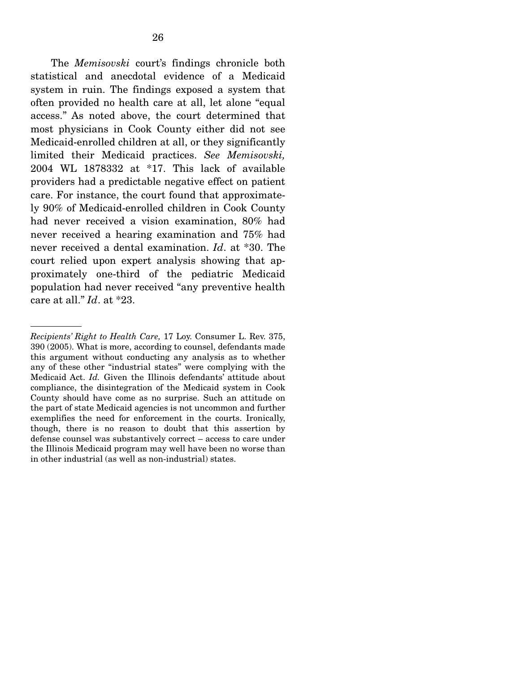The *Memisovski* court's findings chronicle both statistical and anecdotal evidence of a Medicaid system in ruin. The findings exposed a system that often provided no health care at all, let alone "equal access." As noted above, the court determined that most physicians in Cook County either did not see Medicaid-enrolled children at all, or they significantly limited their Medicaid practices. *See Memisovski,* 2004 WL 1878332 at \*17. This lack of available providers had a predictable negative effect on patient care. For instance, the court found that approximately 90% of Medicaid-enrolled children in Cook County had never received a vision examination, 80% had never received a hearing examination and 75% had never received a dental examination. *Id*. at \*30. The court relied upon expert analysis showing that approximately one-third of the pediatric Medicaid population had never received "any preventive health care at all." *Id*. at \*23.

*Recipients' Right to Health Care,* 17 Loy. Consumer L. Rev. 375, 390 (2005). What is more, according to counsel, defendants made this argument without conducting any analysis as to whether any of these other "industrial states" were complying with the Medicaid Act. *Id.* Given the Illinois defendants' attitude about compliance, the disintegration of the Medicaid system in Cook County should have come as no surprise. Such an attitude on the part of state Medicaid agencies is not uncommon and further exemplifies the need for enforcement in the courts. Ironically, though, there is no reason to doubt that this assertion by defense counsel was substantively correct – access to care under the Illinois Medicaid program may well have been no worse than in other industrial (as well as non-industrial) states.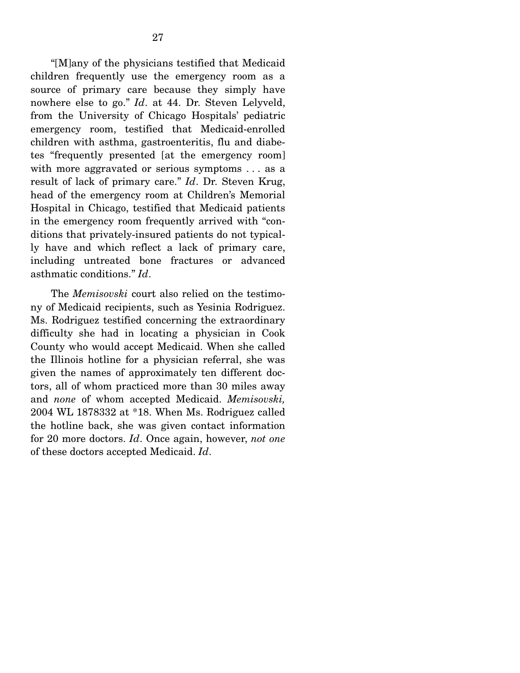"[M]any of the physicians testified that Medicaid children frequently use the emergency room as a source of primary care because they simply have nowhere else to go." *Id*. at 44. Dr. Steven Lelyveld, from the University of Chicago Hospitals' pediatric emergency room, testified that Medicaid-enrolled children with asthma, gastroenteritis, flu and diabetes "frequently presented [at the emergency room] with more aggravated or serious symptoms . . . as a result of lack of primary care." *Id*. Dr. Steven Krug, head of the emergency room at Children's Memorial Hospital in Chicago, testified that Medicaid patients in the emergency room frequently arrived with "conditions that privately-insured patients do not typically have and which reflect a lack of primary care, including untreated bone fractures or advanced asthmatic conditions." *Id*.

 The *Memisovski* court also relied on the testimony of Medicaid recipients, such as Yesinia Rodriguez. Ms. Rodriguez testified concerning the extraordinary difficulty she had in locating a physician in Cook County who would accept Medicaid. When she called the Illinois hotline for a physician referral, she was given the names of approximately ten different doctors, all of whom practiced more than 30 miles away and *none* of whom accepted Medicaid. *Memisovski,* 2004 WL 1878332 at \*18. When Ms. Rodriguez called the hotline back, she was given contact information for 20 more doctors. *Id*. Once again, however, *not one*  of these doctors accepted Medicaid. *Id*.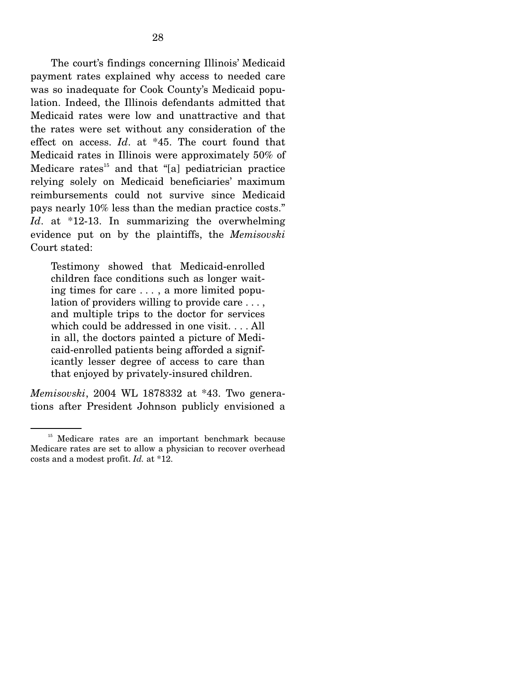The court's findings concerning Illinois' Medicaid payment rates explained why access to needed care was so inadequate for Cook County's Medicaid population. Indeed, the Illinois defendants admitted that Medicaid rates were low and unattractive and that the rates were set without any consideration of the effect on access. *Id*. at \*45. The court found that Medicaid rates in Illinois were approximately 50% of Medicare rates<sup>15</sup> and that "[a] pediatrician practice relying solely on Medicaid beneficiaries' maximum reimbursements could not survive since Medicaid pays nearly 10% less than the median practice costs." *Id*. at \*12-13. In summarizing the overwhelming evidence put on by the plaintiffs, the *Memisovski* Court stated:

Testimony showed that Medicaid-enrolled children face conditions such as longer waiting times for care . . . , a more limited population of providers willing to provide care . . . , and multiple trips to the doctor for services which could be addressed in one visit. . . . All in all, the doctors painted a picture of Medicaid-enrolled patients being afforded a significantly lesser degree of access to care than that enjoyed by privately-insured children.

*Memisovski*, 2004 WL 1878332 at \*43. Two generations after President Johnson publicly envisioned a

<sup>&</sup>lt;sup>15</sup> Medicare rates are an important benchmark because Medicare rates are set to allow a physician to recover overhead costs and a modest profit. *Id.* at \*12.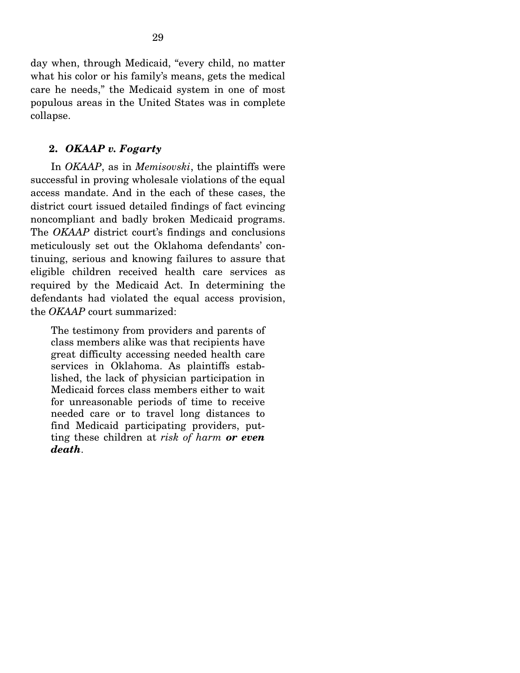day when, through Medicaid, "every child, no matter what his color or his family's means, gets the medical care he needs," the Medicaid system in one of most populous areas in the United States was in complete collapse.

#### **2.** *OKAAP v. Fogarty*

 In *OKAAP*, as in *Memisovski*, the plaintiffs were successful in proving wholesale violations of the equal access mandate. And in the each of these cases, the district court issued detailed findings of fact evincing noncompliant and badly broken Medicaid programs. The *OKAAP* district court's findings and conclusions meticulously set out the Oklahoma defendants' continuing, serious and knowing failures to assure that eligible children received health care services as required by the Medicaid Act. In determining the defendants had violated the equal access provision, the *OKAAP* court summarized:

The testimony from providers and parents of class members alike was that recipients have great difficulty accessing needed health care services in Oklahoma. As plaintiffs established, the lack of physician participation in Medicaid forces class members either to wait for unreasonable periods of time to receive needed care or to travel long distances to find Medicaid participating providers, putting these children at *risk of harm or even death*.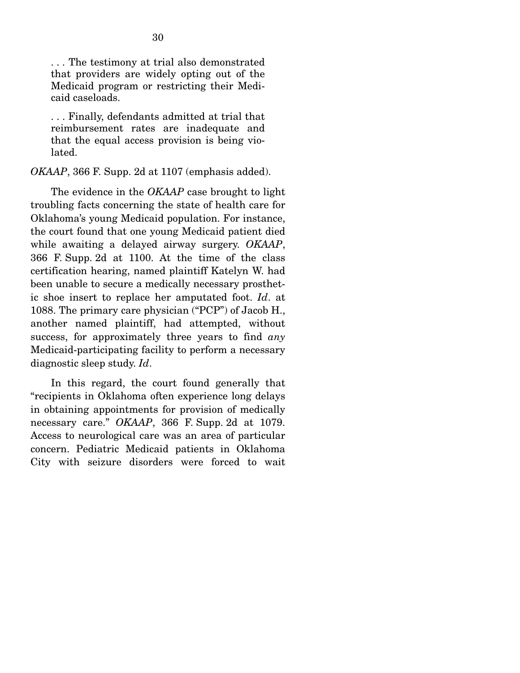. . . The testimony at trial also demonstrated that providers are widely opting out of the Medicaid program or restricting their Medicaid caseloads.

. . . Finally, defendants admitted at trial that reimbursement rates are inadequate and that the equal access provision is being violated.

*OKAAP*, 366 F. Supp. 2d at 1107 (emphasis added).

 The evidence in the *OKAAP* case brought to light troubling facts concerning the state of health care for Oklahoma's young Medicaid population. For instance, the court found that one young Medicaid patient died while awaiting a delayed airway surgery. *OKAAP*, 366 F. Supp. 2d at 1100. At the time of the class certification hearing, named plaintiff Katelyn W. had been unable to secure a medically necessary prosthetic shoe insert to replace her amputated foot. *Id*. at 1088. The primary care physician ("PCP") of Jacob H., another named plaintiff, had attempted, without success, for approximately three years to find *any* Medicaid-participating facility to perform a necessary diagnostic sleep study. *Id*.

 In this regard, the court found generally that "recipients in Oklahoma often experience long delays in obtaining appointments for provision of medically necessary care." *OKAAP*, 366 F. Supp. 2d at 1079. Access to neurological care was an area of particular concern. Pediatric Medicaid patients in Oklahoma City with seizure disorders were forced to wait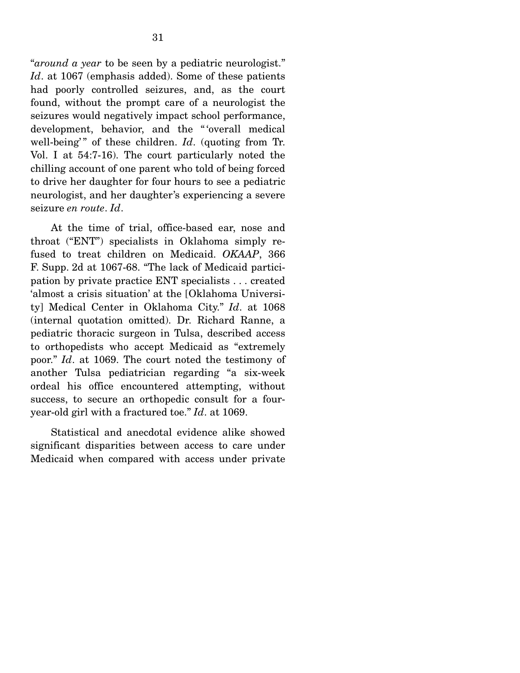"*around a year* to be seen by a pediatric neurologist." *Id*. at 1067 (emphasis added). Some of these patients had poorly controlled seizures, and, as the court found, without the prompt care of a neurologist the seizures would negatively impact school performance, development, behavior, and the "'overall medical well-being'" of these children. *Id.* (quoting from Tr. Vol. I at 54:7-16). The court particularly noted the chilling account of one parent who told of being forced to drive her daughter for four hours to see a pediatric neurologist, and her daughter's experiencing a severe seizure *en route*. *Id*.

 At the time of trial, office-based ear, nose and throat ("ENT") specialists in Oklahoma simply refused to treat children on Medicaid. *OKAAP*, 366 F. Supp. 2d at 1067-68. "The lack of Medicaid participation by private practice ENT specialists . . . created 'almost a crisis situation' at the [Oklahoma University] Medical Center in Oklahoma City." *Id*. at 1068 (internal quotation omitted). Dr. Richard Ranne, a pediatric thoracic surgeon in Tulsa, described access to orthopedists who accept Medicaid as "extremely poor." *Id*. at 1069. The court noted the testimony of another Tulsa pediatrician regarding "a six-week ordeal his office encountered attempting, without success, to secure an orthopedic consult for a fouryear-old girl with a fractured toe." *Id*. at 1069.

 Statistical and anecdotal evidence alike showed significant disparities between access to care under Medicaid when compared with access under private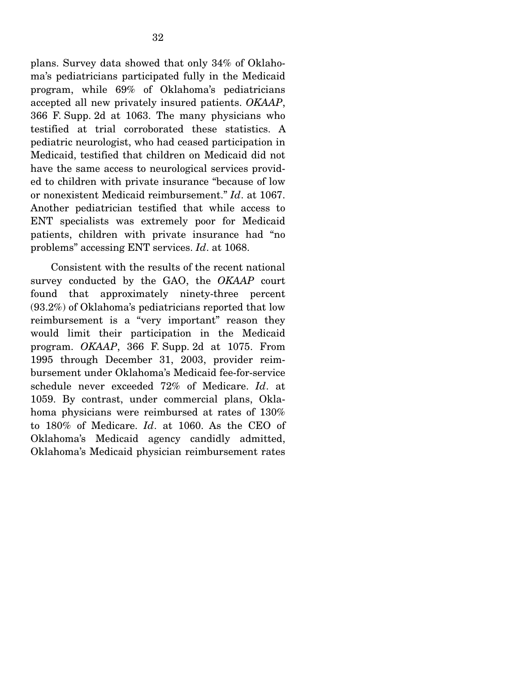plans. Survey data showed that only 34% of Oklahoma's pediatricians participated fully in the Medicaid program, while 69% of Oklahoma's pediatricians accepted all new privately insured patients. *OKAAP*, 366 F. Supp. 2d at 1063. The many physicians who testified at trial corroborated these statistics. A pediatric neurologist, who had ceased participation in Medicaid, testified that children on Medicaid did not have the same access to neurological services provided to children with private insurance "because of low or nonexistent Medicaid reimbursement." *Id*. at 1067. Another pediatrician testified that while access to ENT specialists was extremely poor for Medicaid patients, children with private insurance had "no problems" accessing ENT services. *Id*. at 1068.

 Consistent with the results of the recent national survey conducted by the GAO, the *OKAAP* court found that approximately ninety-three percent (93.2%) of Oklahoma's pediatricians reported that low reimbursement is a "very important" reason they would limit their participation in the Medicaid program. *OKAAP*, 366 F. Supp. 2d at 1075. From 1995 through December 31, 2003, provider reimbursement under Oklahoma's Medicaid fee-for-service schedule never exceeded 72% of Medicare. *Id*. at 1059. By contrast, under commercial plans, Oklahoma physicians were reimbursed at rates of 130% to 180% of Medicare. *Id*. at 1060. As the CEO of Oklahoma's Medicaid agency candidly admitted, Oklahoma's Medicaid physician reimbursement rates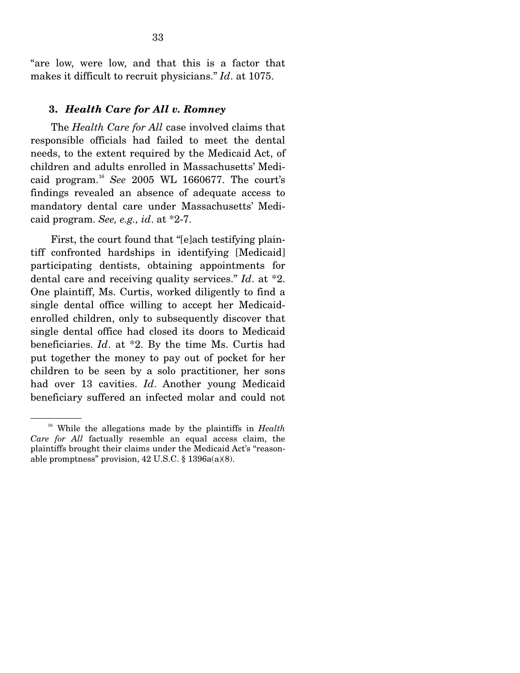"are low, were low, and that this is a factor that makes it difficult to recruit physicians." *Id*. at 1075.

#### **3.** *Health Care for All v. Romney*

 The *Health Care for All* case involved claims that responsible officials had failed to meet the dental needs, to the extent required by the Medicaid Act, of children and adults enrolled in Massachusetts' Medicaid program.<sup>16</sup> *See* 2005 WL 1660677. The court's findings revealed an absence of adequate access to mandatory dental care under Massachusetts' Medicaid program. *See, e.g., id*. at \*2-7.

 First, the court found that "[e]ach testifying plaintiff confronted hardships in identifying [Medicaid] participating dentists, obtaining appointments for dental care and receiving quality services." *Id*. at \*2. One plaintiff, Ms. Curtis, worked diligently to find a single dental office willing to accept her Medicaidenrolled children, only to subsequently discover that single dental office had closed its doors to Medicaid beneficiaries. *Id*. at \*2. By the time Ms. Curtis had put together the money to pay out of pocket for her children to be seen by a solo practitioner, her sons had over 13 cavities. *Id*. Another young Medicaid beneficiary suffered an infected molar and could not

<sup>&</sup>lt;sup>16</sup> While the allegations made by the plaintiffs in *Health Care for All* factually resemble an equal access claim, the plaintiffs brought their claims under the Medicaid Act's "reasonable promptness" provision, 42 U.S.C. § 1396a(a)(8).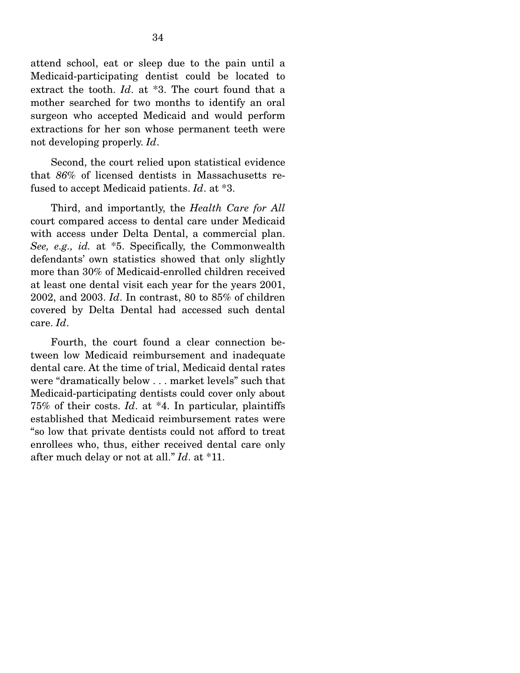attend school, eat or sleep due to the pain until a Medicaid-participating dentist could be located to extract the tooth. *Id*. at \*3. The court found that a mother searched for two months to identify an oral surgeon who accepted Medicaid and would perform extractions for her son whose permanent teeth were not developing properly. *Id*.

 Second, the court relied upon statistical evidence that *86%* of licensed dentists in Massachusetts refused to accept Medicaid patients. *Id*. at \*3.

 Third, and importantly, the *Health Care for All* court compared access to dental care under Medicaid with access under Delta Dental, a commercial plan. *See, e.g., id.* at \*5. Specifically, the Commonwealth defendants' own statistics showed that only slightly more than 30% of Medicaid-enrolled children received at least one dental visit each year for the years 2001, 2002, and 2003. *Id*. In contrast, 80 to 85% of children covered by Delta Dental had accessed such dental care. *Id*.

 Fourth, the court found a clear connection between low Medicaid reimbursement and inadequate dental care. At the time of trial, Medicaid dental rates were "dramatically below . . . market levels" such that Medicaid-participating dentists could cover only about 75% of their costs. *Id*. at \*4. In particular, plaintiffs established that Medicaid reimbursement rates were "so low that private dentists could not afford to treat enrollees who, thus, either received dental care only after much delay or not at all." *Id*. at \*11.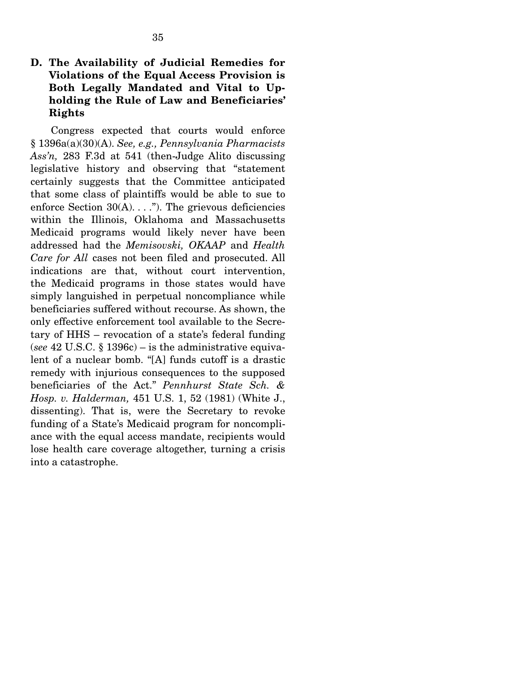### **D. The Availability of Judicial Remedies for Violations of the Equal Access Provision is Both Legally Mandated and Vital to Upholding the Rule of Law and Beneficiaries' Rights**

35

 Congress expected that courts would enforce § 1396a(a)(30)(A). *See, e.g., Pennsylvania Pharmacists Ass'n,* 283 F.3d at 541 (then-Judge Alito discussing legislative history and observing that "statement certainly suggests that the Committee anticipated that some class of plaintiffs would be able to sue to enforce Section  $30(A)$ ...."). The grievous deficiencies within the Illinois, Oklahoma and Massachusetts Medicaid programs would likely never have been addressed had the *Memisovski, OKAAP* and *Health Care for All* cases not been filed and prosecuted. All indications are that, without court intervention, the Medicaid programs in those states would have simply languished in perpetual noncompliance while beneficiaries suffered without recourse. As shown, the only effective enforcement tool available to the Secretary of HHS – revocation of a state's federal funding (*see* 42 U.S.C. § 1396c) – is the administrative equivalent of a nuclear bomb. "[A] funds cutoff is a drastic remedy with injurious consequences to the supposed beneficiaries of the Act." *Pennhurst State Sch. & Hosp. v. Halderman,* 451 U.S. 1, 52 (1981) (White J., dissenting). That is, were the Secretary to revoke funding of a State's Medicaid program for noncompliance with the equal access mandate, recipients would lose health care coverage altogether, turning a crisis into a catastrophe.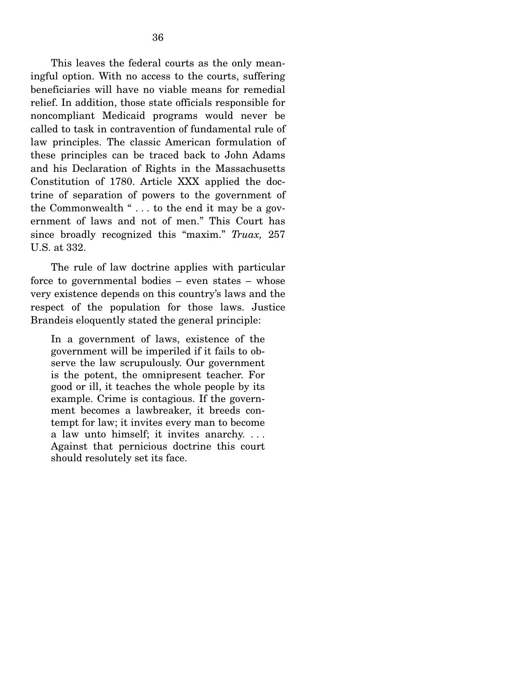This leaves the federal courts as the only meaningful option. With no access to the courts, suffering beneficiaries will have no viable means for remedial relief. In addition, those state officials responsible for noncompliant Medicaid programs would never be called to task in contravention of fundamental rule of law principles. The classic American formulation of these principles can be traced back to John Adams and his Declaration of Rights in the Massachusetts Constitution of 1780. Article XXX applied the doctrine of separation of powers to the government of the Commonwealth " $\dots$  to the end it may be a government of laws and not of men." This Court has since broadly recognized this "maxim." *Truax,* 257 U.S. at 332.

 The rule of law doctrine applies with particular force to governmental bodies – even states – whose very existence depends on this country's laws and the respect of the population for those laws. Justice Brandeis eloquently stated the general principle:

In a government of laws, existence of the government will be imperiled if it fails to observe the law scrupulously. Our government is the potent, the omnipresent teacher. For good or ill, it teaches the whole people by its example. Crime is contagious. If the government becomes a lawbreaker, it breeds contempt for law; it invites every man to become a law unto himself; it invites anarchy. . . . Against that pernicious doctrine this court should resolutely set its face.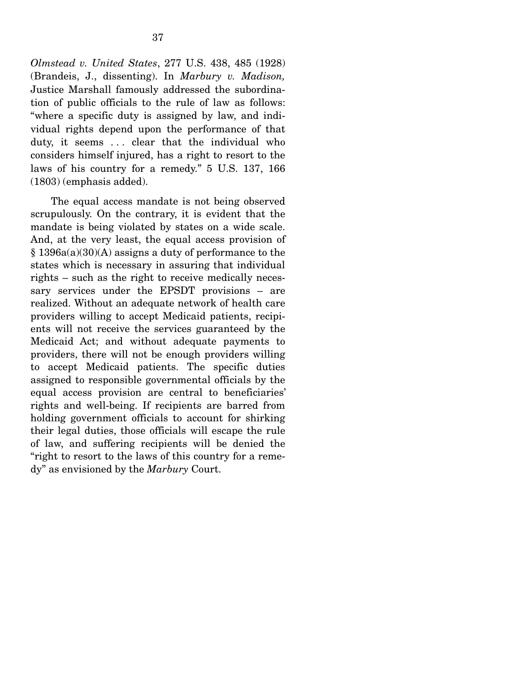*Olmstead v. United States*, 277 U.S. 438, 485 (1928) (Brandeis, J., dissenting). In *Marbury v. Madison,* Justice Marshall famously addressed the subordination of public officials to the rule of law as follows: "where a specific duty is assigned by law, and individual rights depend upon the performance of that duty, it seems ... clear that the individual who considers himself injured, has a right to resort to the laws of his country for a remedy." 5 U.S. 137, 166 (1803) (emphasis added).

 The equal access mandate is not being observed scrupulously. On the contrary, it is evident that the mandate is being violated by states on a wide scale. And, at the very least, the equal access provision of § 1396a(a)(30)(A) assigns a duty of performance to the states which is necessary in assuring that individual rights – such as the right to receive medically necessary services under the EPSDT provisions – are realized. Without an adequate network of health care providers willing to accept Medicaid patients, recipients will not receive the services guaranteed by the Medicaid Act; and without adequate payments to providers, there will not be enough providers willing to accept Medicaid patients. The specific duties assigned to responsible governmental officials by the equal access provision are central to beneficiaries' rights and well-being. If recipients are barred from holding government officials to account for shirking their legal duties, those officials will escape the rule of law, and suffering recipients will be denied the "right to resort to the laws of this country for a remedy" as envisioned by the *Marbury* Court.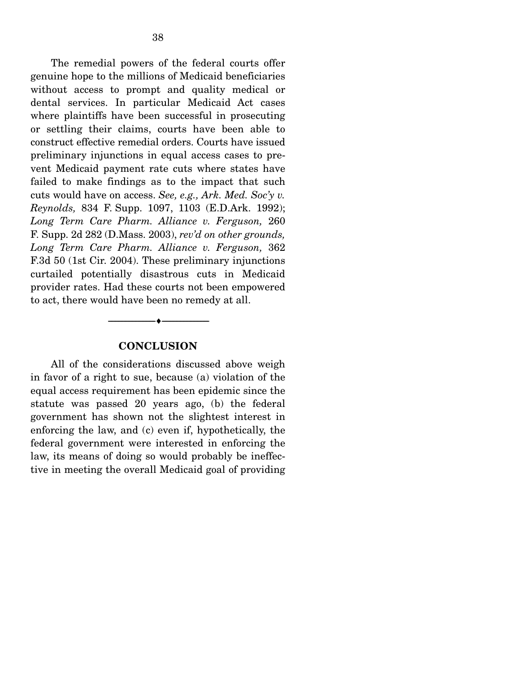The remedial powers of the federal courts offer genuine hope to the millions of Medicaid beneficiaries without access to prompt and quality medical or dental services. In particular Medicaid Act cases where plaintiffs have been successful in prosecuting or settling their claims, courts have been able to construct effective remedial orders. Courts have issued preliminary injunctions in equal access cases to prevent Medicaid payment rate cuts where states have failed to make findings as to the impact that such cuts would have on access. *See, e.g., Ark. Med. Soc'y v. Reynolds,* 834 F. Supp. 1097, 1103 (E.D.Ark. 1992); *Long Term Care Pharm. Alliance v. Ferguson,* 260 F. Supp. 2d 282 (D.Mass. 2003), *rev'd on other grounds, Long Term Care Pharm. Alliance v. Ferguson,* 362 F.3d 50 (1st Cir. 2004). These preliminary injunctions curtailed potentially disastrous cuts in Medicaid provider rates. Had these courts not been empowered to act, there would have been no remedy at all.

#### **CONCLUSION**

--------------------------------- ♦ ---------------------------------

 All of the considerations discussed above weigh in favor of a right to sue, because (a) violation of the equal access requirement has been epidemic since the statute was passed 20 years ago, (b) the federal government has shown not the slightest interest in enforcing the law, and (c) even if, hypothetically, the federal government were interested in enforcing the law, its means of doing so would probably be ineffective in meeting the overall Medicaid goal of providing